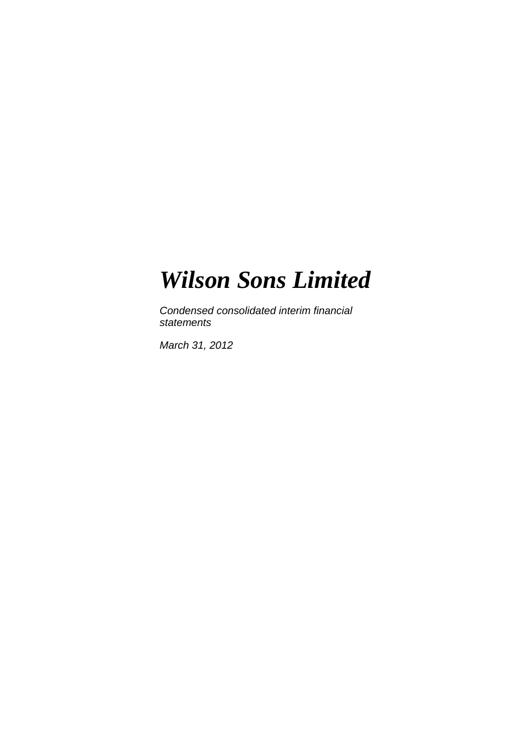*Condensed consolidated interim financial statements* 

*March 31, 2012*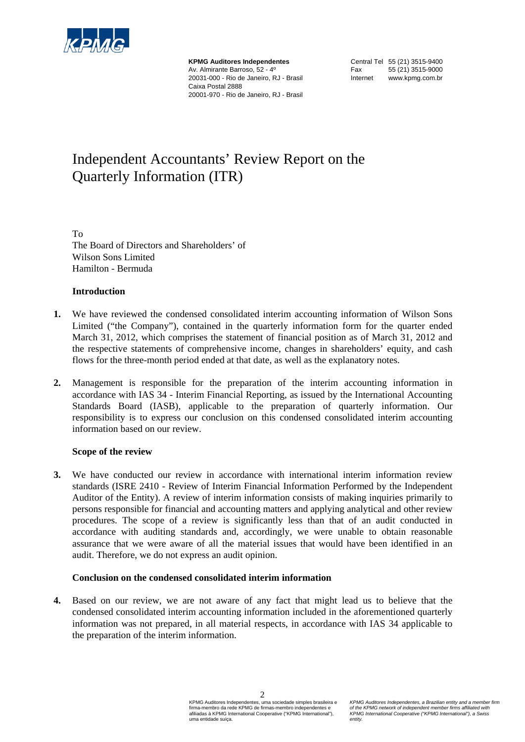

**KPMG Auditores Independentes**  Av. Almirante Barroso, 52 - 4º 20031-000 - Rio de Janeiro, RJ - Brasil Caixa Postal 2888 20001-970 - Rio de Janeiro, RJ - Brasil

Central Tel 55 (21) 3515-9400 Fax 55 (21) 3515-9000 Internet www.kpmg.com.br

# Independent Accountants' Review Report on the Quarterly Information (ITR)

To The Board of Directors and Shareholders' of Wilson Sons Limited Hamilton - Bermuda

# **Introduction**

- **1.** We have reviewed the condensed consolidated interim accounting information of Wilson Sons Limited ("the Company"), contained in the quarterly information form for the quarter ended March 31, 2012, which comprises the statement of financial position as of March 31, 2012 and the respective statements of comprehensive income, changes in shareholders' equity, and cash flows for the three-month period ended at that date, as well as the explanatory notes.
- **2.** Management is responsible for the preparation of the interim accounting information in accordance with IAS 34 - Interim Financial Reporting, as issued by the International Accounting Standards Board (IASB), applicable to the preparation of quarterly information. Our responsibility is to express our conclusion on this condensed consolidated interim accounting information based on our review.

#### **Scope of the review**

**3.** We have conducted our review in accordance with international interim information review standards (ISRE 2410 - Review of Interim Financial Information Performed by the Independent Auditor of the Entity). A review of interim information consists of making inquiries primarily to persons responsible for financial and accounting matters and applying analytical and other review procedures. The scope of a review is significantly less than that of an audit conducted in accordance with auditing standards and, accordingly, we were unable to obtain reasonable assurance that we were aware of all the material issues that would have been identified in an audit. Therefore, we do not express an audit opinion.

#### **Conclusion on the condensed consolidated interim information**

**4.** Based on our review, we are not aware of any fact that might lead us to believe that the condensed consolidated interim accounting information included in the aforementioned quarterly information was not prepared, in all material respects, in accordance with IAS 34 applicable to the preparation of the interim information.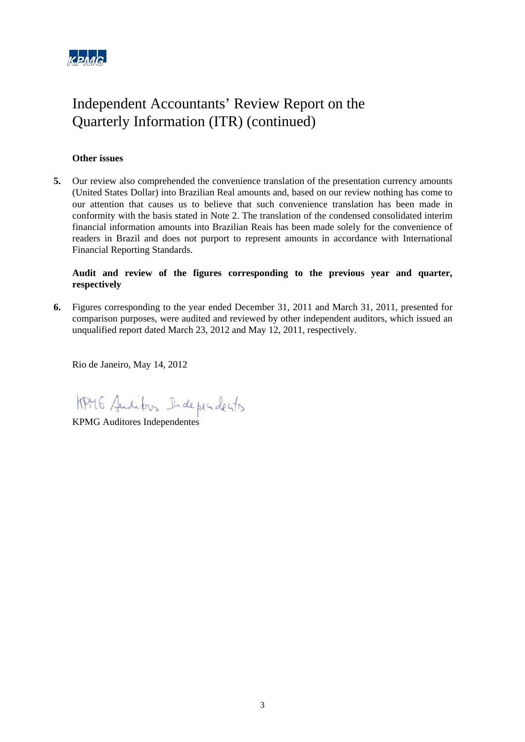

# Independent Accountants' Review Report on the Quarterly Information (ITR) (continued)

# **Other issues**

**5.** Our review also comprehended the convenience translation of the presentation currency amounts (United States Dollar) into Brazilian Real amounts and, based on our review nothing has come to our attention that causes us to believe that such convenience translation has been made in conformity with the basis stated in Note 2. The translation of the condensed consolidated interim financial information amounts into Brazilian Reais has been made solely for the convenience of readers in Brazil and does not purport to represent amounts in accordance with International Financial Reporting Standards.

# **Audit and review of the figures corresponding to the previous year and quarter, respectively**

**6.** Figures corresponding to the year ended December 31, 2011 and March 31, 2011, presented for comparison purposes, were audited and reviewed by other independent auditors, which issued an unqualified report dated March 23, 2012 and May 12, 2011, respectively.

Rio de Janeiro, May 14, 2012

HPMG Audibos Independents

KPMG Auditores Independentes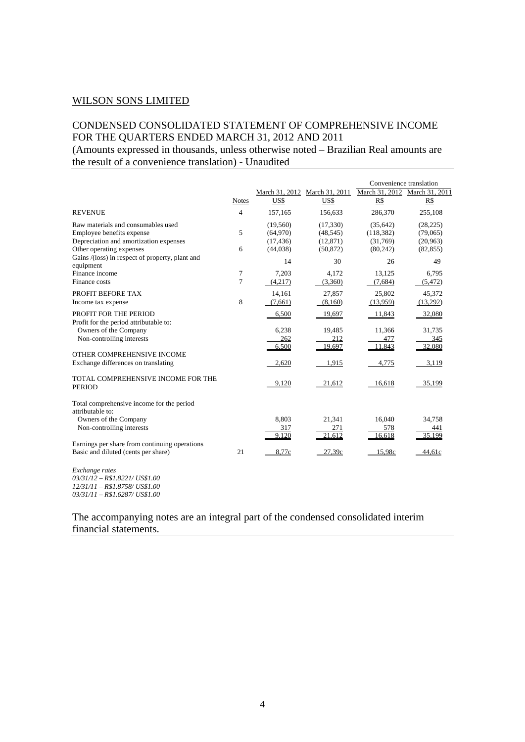# CONDENSED CONSOLIDATED STATEMENT OF COMPREHENSIVE INCOME FOR THE QUARTERS ENDED MARCH 31, 2012 AND 2011

(Amounts expressed in thousands, unless otherwise noted – Brazilian Real amounts are the result of a convenience translation) - Unaudited

|                                                                                   |              |           |                               |            | Convenience translation       |
|-----------------------------------------------------------------------------------|--------------|-----------|-------------------------------|------------|-------------------------------|
|                                                                                   |              |           | March 31, 2012 March 31, 2011 |            | March 31, 2012 March 31, 2011 |
|                                                                                   | <b>Notes</b> | US\$      | US\$                          | R\$        | R\$                           |
| <b>REVENUE</b>                                                                    | 4            | 157,165   | 156,633                       | 286,370    | 255,108                       |
| Raw materials and consumables used                                                |              | (19,560)  | (17, 330)                     | (35, 642)  | (28, 225)                     |
| Employee benefits expense                                                         | 5            | (64,970)  | (48, 545)                     | (118, 382) | (79,065)                      |
| Depreciation and amortization expenses                                            |              | (17, 436) | (12, 871)                     | (31,769)   | (20,963)                      |
| Other operating expenses                                                          | 6            | (44,038)  | (50, 872)                     | (80, 242)  | (82, 855)                     |
| Gains /(loss) in respect of property, plant and<br>equipment                      |              | 14        | 30                            | 26         | 49                            |
| Finance income                                                                    | 7            | 7,203     | 4,172                         | 13,125     | 6,795                         |
| Finance costs                                                                     | 7            | (4,217)   | (3,360)                       | (7,684)    | (5, 472)                      |
| PROFIT BEFORE TAX                                                                 |              | 14,161    | 27,857                        | 25,802     | 45,372                        |
| Income tax expense                                                                | 8            | (7,661)   | (8,160)                       | (13,959)   | (13,292)                      |
| PROFIT FOR THE PERIOD<br>Profit for the period attributable to:                   |              | 6,500     | 19,697                        | 11,843     | 32,080                        |
| Owners of the Company                                                             |              | 6,238     | 19,485                        | 11,366     | 31,735                        |
| Non-controlling interests                                                         |              | 262       | 212                           | 477        | 345                           |
|                                                                                   |              | 6,500     | 19,697                        | 11,843     | 32,080                        |
| OTHER COMPREHENSIVE INCOME                                                        |              |           |                               |            |                               |
| Exchange differences on translating                                               |              | 2,620     | 1,915                         | 4,775      | 3,119                         |
| TOTAL COMPREHENSIVE INCOME FOR THE<br><b>PERIOD</b>                               |              | 9,120     | 21,612                        | 16,618     | 35,199                        |
| Total comprehensive income for the period<br>attributable to:                     |              |           |                               |            |                               |
| Owners of the Company                                                             |              | 8.803     | 21,341                        | 16.040     | 34,758                        |
| Non-controlling interests                                                         |              | 317       | 271                           | 578        | 441                           |
|                                                                                   |              | 9,120     | 21,612                        | 16,618     | 35,199                        |
| Earnings per share from continuing operations                                     |              |           |                               |            |                               |
| Basic and diluted (cents per share)                                               | 21           | 8,77c     | 27,39c                        | 15.98c     | 44,61c                        |
| Exchange rates<br>$03/31/12 - R$1.8221/US$1.00$<br>12/31/11 - R\$1.8758/ US\$1.00 |              |           |                               |            |                               |

*03/31/11 – R\$1.6287/ US\$1.00*

# The accompanying notes are an integral part of the condensed consolidated interim financial statements.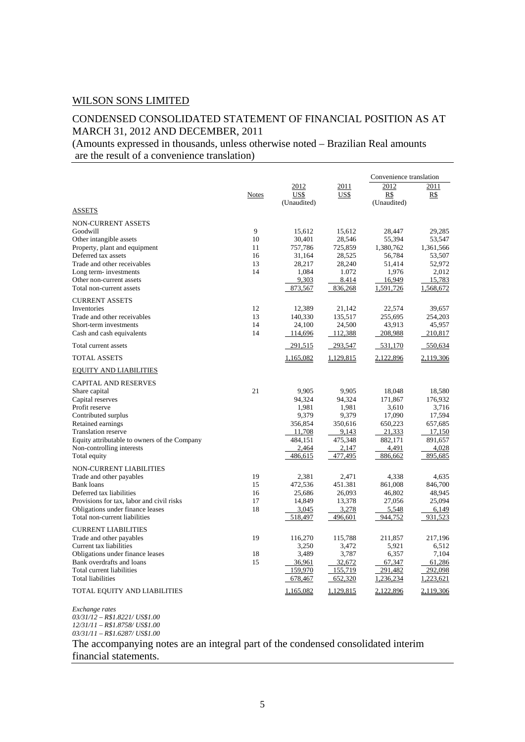# CONDENSED CONSOLIDATED STATEMENT OF FINANCIAL POSITION AS AT MARCH 31, 2012 AND DECEMBER, 2011

(Amounts expressed in thousands, unless otherwise noted – Brazilian Real amounts are the result of a convenience translation)

|                                                        |              |                             |                     | Convenience translation    |                    |
|--------------------------------------------------------|--------------|-----------------------------|---------------------|----------------------------|--------------------|
|                                                        | <b>Notes</b> | 2012<br>US\$<br>(Unaudited) | 2011<br><u>US\$</u> | 2012<br>R\$<br>(Unaudited) | 2011<br><u>R\$</u> |
| <b>ASSETS</b>                                          |              |                             |                     |                            |                    |
| <b>NON-CURRENT ASSETS</b><br>Goodwill                  | 9            |                             |                     |                            |                    |
| Other intangible assets                                | 10           | 15,612<br>30,401            | 15,612<br>28,546    | 28,447<br>55,394           | 29,285<br>53,547   |
| Property, plant and equipment                          | 11           | 757,786                     | 725,859             | 1,380,762                  | 1,361,566          |
| Deferred tax assets                                    | 16           | 31,164                      | 28,525              | 56,784                     | 53,507             |
| Trade and other receivables                            | 13           | 28,217                      | 28,240              | 51,414                     | 52,972             |
| Long term-investments                                  | 14           | 1,084                       | 1.072               | 1,976                      | 2,012              |
| Other non-current assets                               |              | 9,303                       | 8.414               | 16,949                     | 15,783             |
| Total non-current assets                               |              | 873,567                     | 836,268             | 1,591,726                  | 1,568,672          |
| <b>CURRENT ASSETS</b>                                  |              |                             |                     |                            |                    |
| Inventories                                            | 12           | 12,389                      | 21,142              | 22,574                     | 39,657             |
| Trade and other receivables                            | 13           | 140,330                     | 135,517             | 255,695                    | 254,203            |
| Short-term investments                                 | 14           | 24,100                      | 24,500              | 43,913                     | 45,957             |
| Cash and cash equivalents                              | 14           | 114,696                     | 112,388             | 208,988                    | 210,817            |
| Total current assets                                   |              | 291,515                     | 293,547             | 531,170                    | 550,634            |
| <b>TOTAL ASSETS</b>                                    |              | 1,165,082                   | 1,129,815           | 2,122,896                  | 2,119,306          |
| <b>EQUITY AND LIABILITIES</b>                          |              |                             |                     |                            |                    |
| <b>CAPITAL AND RESERVES</b>                            |              |                             |                     |                            |                    |
| Share capital                                          | 21           | 9,905                       | 9.905               | 18,048                     | 18,580             |
| Capital reserves                                       |              | 94,324                      | 94,324              | 171,867                    | 176,932            |
| Profit reserve                                         |              | 1,981                       | 1,981               | 3,610                      | 3,716              |
| Contributed surplus                                    |              | 9,379                       | 9,379               | 17,090                     | 17,594             |
| Retained earnings                                      |              | 356,854                     | 350,616             | 650,223                    | 657,685            |
| <b>Translation reserve</b>                             |              | 11,708                      | 9,143               | 21,333                     | 17,150             |
| Equity attributable to owners of the Company           |              | 484,151                     | 475,348             | 882,171                    | 891,657            |
| Non-controlling interests<br>Total equity              |              | 2,464<br>486,615            | 2,147<br>477,495    | 4,491<br>886,662           | 4,028<br>895,685   |
|                                                        |              |                             |                     |                            |                    |
| <b>NON-CURRENT LIABILITIES</b>                         |              |                             |                     |                            |                    |
| Trade and other payables                               | 19           | 2,381                       | 2,471               | 4,338                      | 4,635              |
| <b>Bank</b> loans<br>Deferred tax liabilities          | 15<br>16     | 472,536<br>25,686           | 451.381             | 861,008<br>46,802          | 846,700            |
| Provisions for tax, labor and civil risks              | 17           | 14,849                      | 26,093<br>13,378    | 27,056                     | 48,945<br>25,094   |
| Obligations under finance leases                       | 18           | 3,045                       | 3,278               | 5,548                      | 6,149              |
| Total non-current liabilities                          |              | 518,497                     | 496,601             | 944,752                    | 931,523            |
|                                                        |              |                             |                     |                            |                    |
| <b>CURRENT LIABILITIES</b><br>Trade and other payables | 19           | 116,270                     | 115,788             | 211,857                    | 217,196            |
| Current tax liabilities                                |              | 3,250                       | 3,472               | 5,921                      | 6,512              |
| Obligations under finance leases                       | 18           | 3,489                       | 3,787               | 6,357                      | 7,104              |
| Bank overdrafts and loans                              | 15           | 36,961                      | 32,672              | 67,347                     | 61,286             |
| Total current liabilities                              |              | 159,970                     | 155,719             | 291,482                    | 292,098            |
| Total liabilities                                      |              | 678,467                     | 652,320             | 1,236,234                  | 1,223,621          |
| TOTAL EQUITY AND LIABILITIES                           |              | 1,165,082                   | 1,129,815           | 2,122,896                  | 2,119,306          |

*Exchange rates 03/31/12 – R\$1.8221/ US\$1.00 12/31/11 – R\$1.8758/ US\$1.00 03/31/11 – R\$1.6287/ US\$1.00*

The accompanying notes are an integral part of the condensed consolidated interim financial statements.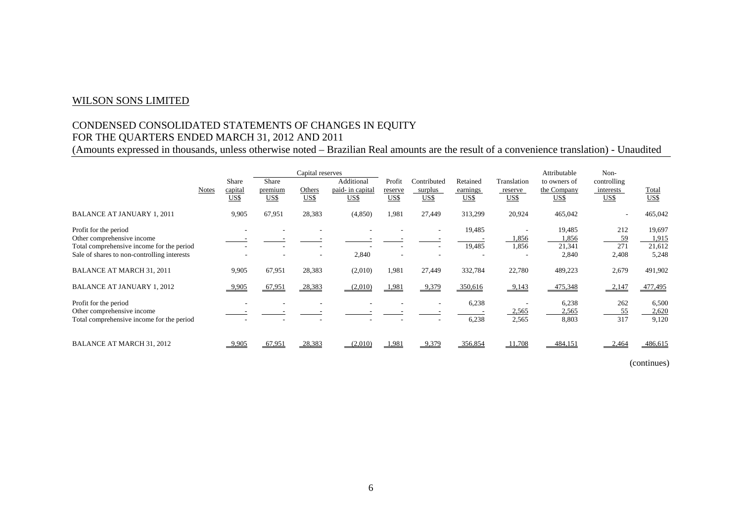# CONDENSED CONSOLIDATED STATEMENTS OF CHANGES IN EQUITY FOR THE QUARTERS ENDED MARCH 31, 2012 AND 2011

(Amounts expressed in thousands, unless otherwise noted – Brazilian Real amounts are the result of a convenience translation) - Unaudited

|                                                                                                                                                 | <b>Notes</b> | <b>Share</b><br>capital<br>US\$ | Share<br>premium<br>US\$ | Capital reserves<br>Others<br>US\$ | Additional<br>paid- in capital<br>US\$ | Profit<br>reserve<br>US\$ | Contributed<br>surplus<br>US\$ | Retained<br>earnings<br>US\$ | Translation<br>reserve<br>US\$ | Attributable<br>to owners of<br>the Company<br>US\$ | Non-<br>controlling<br>interests<br>US\$ | Total<br>US\$                      |
|-------------------------------------------------------------------------------------------------------------------------------------------------|--------------|---------------------------------|--------------------------|------------------------------------|----------------------------------------|---------------------------|--------------------------------|------------------------------|--------------------------------|-----------------------------------------------------|------------------------------------------|------------------------------------|
| <b>BALANCE AT JANUARY 1, 2011</b>                                                                                                               |              | 9,905                           | 67,951                   | 28,383                             | (4,850)                                | 1,981                     | 27,449                         | 313,299                      | 20,924                         | 465,042                                             |                                          | 465,042                            |
| Profit for the period<br>Other comprehensive income<br>Total comprehensive income for the period<br>Sale of shares to non-controlling interests |              |                                 |                          |                                    | 2,840                                  |                           |                                | 19,485<br>19,485             | 1,856<br>1,856                 | 19,485<br>1,856<br>21,341<br>2,840                  | 212<br>59<br>271<br>2,408                | 19,697<br>1,915<br>21,612<br>5,248 |
| <b>BALANCE AT MARCH 31, 2011</b>                                                                                                                |              | 9,905                           | 67,951                   | 28,383                             | (2,010)                                | 1,981                     | 27,449                         | 332,784                      | 22,780                         | 489,223                                             | 2,679                                    | 491,902                            |
| <b>BALANCE AT JANUARY 1, 2012</b>                                                                                                               |              | 9,905                           | 67,951                   | 28,383                             | (2,010)                                | 1,981                     | 9,379                          | 350,616                      | $-9,143$                       | 475,348                                             | 2,147                                    | 477,495                            |
| Profit for the period<br>Other comprehensive income<br>Total comprehensive income for the period                                                |              |                                 |                          |                                    |                                        |                           |                                | 6,238<br>6,238               | 2,565<br>2,565                 | 6,238<br>2,565<br>8,803                             | 262<br>55<br>317                         | 6,500<br>2,620<br>9,120            |
| <b>BALANCE AT MARCH 31, 2012</b>                                                                                                                |              | $-9.905$                        | 67.951                   | 28,383                             | (2.010)                                | 1,981                     | 9,379                          | 356.854                      | 11,708                         | 484.151                                             | 2,464                                    | 486,615                            |

(continues)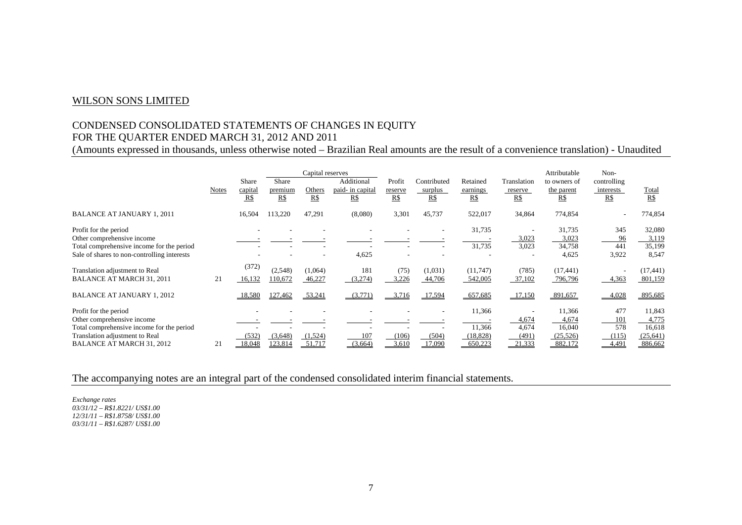# CONDENSED CONSOLIDATED STATEMENTS OF CHANGES IN EQUITY FOR THE QUARTER ENDED MARCH 31, 2012 AND 2011

(Amounts expressed in thousands, unless otherwise noted – Brazilian Real amounts are the result of a convenience translation) - Unaudited

|                                                                    | <b>Notes</b> | Share<br>capital<br>R\$ | <b>Share</b><br>premium<br>$R\$ | Capital reserves<br>Others<br>R\$ | Additional<br>paid- in capital<br>$R\$ | Profit<br>reserve<br>R\$ | Contributed<br>surplus<br>$R\$ | Retained<br>earnings<br>R\$ | Translation<br>reserve<br>R\$ | Attributable<br>to owners of<br>the parent<br>$R\$ | Non-<br>controlling<br>interests<br>R\$ | Total<br>R\$         |
|--------------------------------------------------------------------|--------------|-------------------------|---------------------------------|-----------------------------------|----------------------------------------|--------------------------|--------------------------------|-----------------------------|-------------------------------|----------------------------------------------------|-----------------------------------------|----------------------|
|                                                                    |              |                         |                                 |                                   |                                        |                          |                                |                             |                               |                                                    |                                         |                      |
| <b>BALANCE AT JANUARY 1, 2011</b>                                  |              | 16,504                  | 113,220                         | 47,291                            | (8,080)                                | 3,301                    | 45,737                         | 522,017                     | 34,864                        | 774,854                                            |                                         | 774,854              |
| Profit for the period                                              |              |                         |                                 |                                   |                                        |                          |                                | 31,735                      |                               | 31,735                                             | 345                                     | 32,080               |
| Other comprehensive income                                         |              |                         |                                 |                                   |                                        |                          |                                |                             | 3,023                         | 3,023                                              | 96                                      | 3,119                |
| Total comprehensive income for the period                          |              |                         |                                 |                                   |                                        |                          |                                | 31,735                      | 3,023                         | 34,758                                             | 441                                     | 35,199               |
| Sale of shares to non-controlling interests                        |              |                         |                                 |                                   | 4,625                                  |                          |                                |                             |                               | 4,625                                              | 3,922                                   | 8,547                |
| Translation adjustment to Real<br><b>BALANCE AT MARCH 31, 2011</b> | 21           | (372)<br>16,132         | (2,548)<br>110,672              | (1,064)<br>46,227                 | 181<br>(3,274)                         | (75)<br>3,226            | (1,031)<br>44,706              | (11,747)<br>542,005         | (785)<br>37,102               | (17, 441)<br>796,796                               | 4,363                                   | (17, 441)<br>801,159 |
| <b>BALANCE AT JANUARY 1, 2012</b>                                  |              | 18,580                  | 127,462                         | 53,241                            | (3,771)                                | 3,716                    | 17,594                         | 657,685                     | 17,150                        | 891,657                                            | 4,028                                   | 895,685              |
| Profit for the period                                              |              |                         |                                 |                                   |                                        |                          |                                | 11,366                      |                               | 11,366                                             | 477                                     | 11,843               |
| Other comprehensive income                                         |              |                         |                                 |                                   |                                        |                          |                                |                             | 4,674                         | 4,674                                              | 101                                     | 4,775                |
| Total comprehensive income for the period                          |              |                         |                                 |                                   |                                        |                          |                                | 11,366                      | 4,674                         | 16,040                                             | 578                                     | 16,618               |
| Translation adjustment to Real                                     |              | (532)                   | (3,648)                         | (1,524)                           | 107                                    | (106)                    | (504)                          | (18, 828)                   | (491)                         | (25, 526)                                          | (115)                                   | (25, 641)            |
| BALANCE AT MARCH 31, 2012                                          | 21           | 18.048                  | 123.814                         | 51.717                            | (3.664)                                | 3.610                    | 17.090                         | 650.223                     | 21.333                        | 882,172                                            | 4.491                                   | 886,662              |

The accompanying notes are an integral part of the condensed consolidated interim financial statements.

*Exchange rates 03/31/12 – R\$1.8221/ US\$1.00 12/31/11 – R\$1.8758/ US\$1.00 03/31/11 – R\$1.6287/ US\$1.00*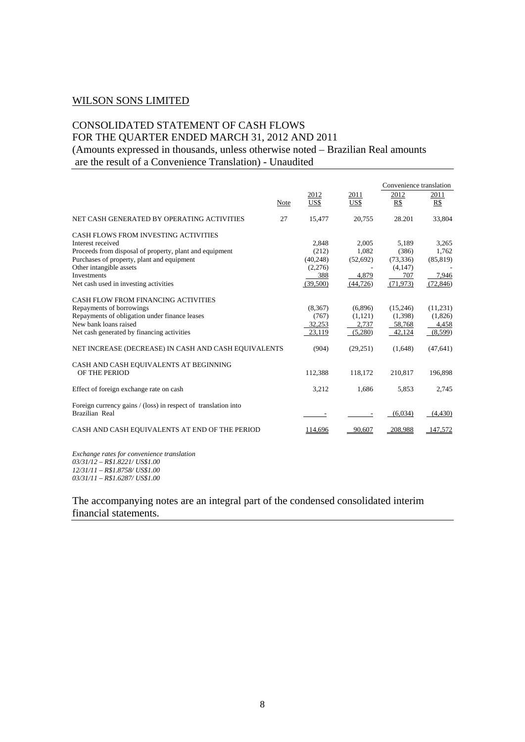# CONSOLIDATED STATEMENT OF CASH FLOWS FOR THE QUARTER ENDED MARCH 31, 2012 AND 2011 (Amounts expressed in thousands, unless otherwise noted – Brazilian Real amounts are the result of a Convenience Translation) - Unaudited

|                                                                                  |      |          |           | Convenience translation |            |
|----------------------------------------------------------------------------------|------|----------|-----------|-------------------------|------------|
|                                                                                  |      | 2012     | 2011      | 2012                    | 2011       |
|                                                                                  | Note | US\$     | US\$      | R\$                     | R\$        |
| NET CASH GENERATED BY OPERATING ACTIVITIES                                       | 27   | 15,477   | 20,755    | 28.201                  | 33,804     |
| CASH FLOWS FROM INVESTING ACTIVITIES                                             |      |          |           |                         |            |
| Interest received                                                                |      | 2,848    | 2,005     | 5,189                   | 3,265      |
| Proceeds from disposal of property, plant and equipment                          |      | (212)    | 1,082     | (386)                   | 1,762      |
| Purchases of property, plant and equipment                                       |      | (40,248) | (52,692)  | (73, 336)               | (85, 819)  |
| Other intangible assets                                                          |      | (2,276)  |           | (4,147)                 |            |
| <b>Investments</b>                                                               |      | 388      | 4,879     | 707                     | 7.946      |
| Net cash used in investing activities                                            |      | (39,500) | (44, 726) | (71, 973)               | (72, 846)  |
|                                                                                  |      |          |           |                         |            |
| CASH FLOW FROM FINANCING ACTIVITIES                                              |      |          |           |                         |            |
| Repayments of borrowings                                                         |      | (8,367)  | (6,896)   | (15,246)                | (11,231)   |
| Repayments of obligation under finance leases                                    |      | (767)    | (1,121)   | (1,398)                 | (1,826)    |
| New bank loans raised                                                            |      | 32,253   | 2,737     | 58,768                  | 4,458      |
| Net cash generated by financing activities                                       |      | 23,119   | (5,280)   | 42,124                  | (8,599)    |
| NET INCREASE (DECREASE) IN CASH AND CASH EQUIVALENTS                             |      | (904)    | (29,251)  | (1,648)                 | (47, 641)  |
| CASH AND CASH EQUIVALENTS AT BEGINNING                                           |      |          |           |                         |            |
| OF THE PERIOD                                                                    |      | 112,388  | 118,172   | 210,817                 | 196,898    |
| Effect of foreign exchange rate on cash                                          |      | 3,212    | 1,686     | 5,853                   | 2,745      |
| Foreign currency gains / (loss) in respect of translation into<br>Brazilian Real |      |          |           | (6.034)                 | (4, 430)   |
| CASH AND CASH EQUIVALENTS AT END OF THE PERIOD                                   |      | 114.696  | 90.607    | 208.988                 | $-147.572$ |

*Exchange rates for convenience translation 03/31/12 – R\$1.8221/ US\$1.00 12/31/11 – R\$1.8758/ US\$1.00 03/31/11 – R\$1.6287/ US\$1.00*

The accompanying notes are an integral part of the condensed consolidated interim financial statements.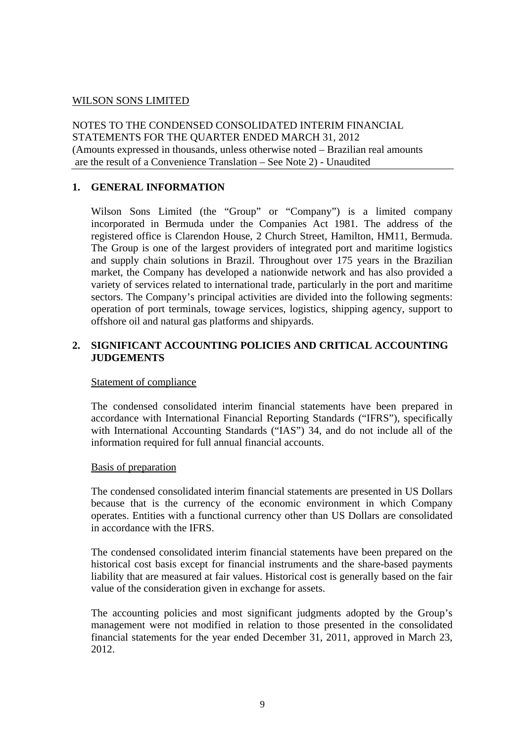NOTES TO THE CONDENSED CONSOLIDATED INTERIM FINANCIAL STATEMENTS FOR THE QUARTER ENDED MARCH 31, 2012 (Amounts expressed in thousands, unless otherwise noted – Brazilian real amounts are the result of a Convenience Translation – See Note 2) - Unaudited

# **1. GENERAL INFORMATION**

Wilson Sons Limited (the "Group" or "Company") is a limited company incorporated in Bermuda under the Companies Act 1981. The address of the registered office is Clarendon House, 2 Church Street, Hamilton, HM11, Bermuda. The Group is one of the largest providers of integrated port and maritime logistics and supply chain solutions in Brazil. Throughout over 175 years in the Brazilian market, the Company has developed a nationwide network and has also provided a variety of services related to international trade, particularly in the port and maritime sectors. The Company's principal activities are divided into the following segments: operation of port terminals, towage services, logistics, shipping agency, support to offshore oil and natural gas platforms and shipyards.

# **2. SIGNIFICANT ACCOUNTING POLICIES AND CRITICAL ACCOUNTING JUDGEMENTS**

# Statement of compliance

The condensed consolidated interim financial statements have been prepared in accordance with International Financial Reporting Standards ("IFRS"), specifically with International Accounting Standards ("IAS") 34, and do not include all of the information required for full annual financial accounts.

# Basis of preparation

The condensed consolidated interim financial statements are presented in US Dollars because that is the currency of the economic environment in which Company operates. Entities with a functional currency other than US Dollars are consolidated in accordance with the IFRS.

The condensed consolidated interim financial statements have been prepared on the historical cost basis except for financial instruments and the share-based payments liability that are measured at fair values. Historical cost is generally based on the fair value of the consideration given in exchange for assets.

The accounting policies and most significant judgments adopted by the Group's management were not modified in relation to those presented in the consolidated financial statements for the year ended December 31, 2011, approved in March 23, 2012.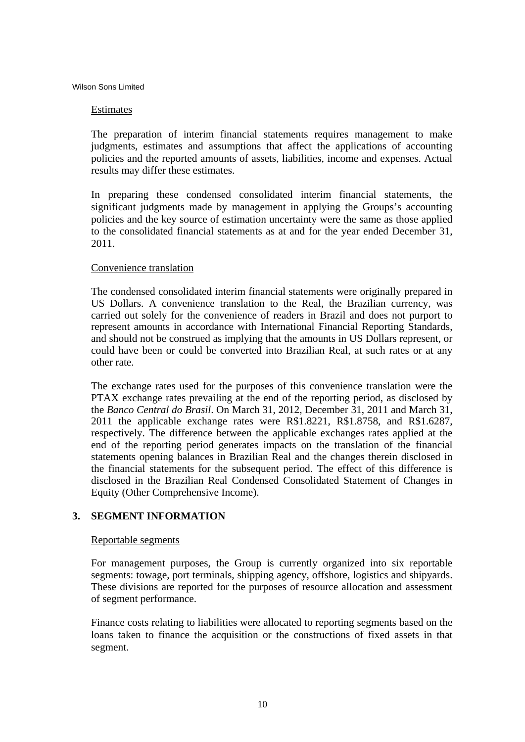# Estimates

The preparation of interim financial statements requires management to make judgments, estimates and assumptions that affect the applications of accounting policies and the reported amounts of assets, liabilities, income and expenses. Actual results may differ these estimates.

In preparing these condensed consolidated interim financial statements, the significant judgments made by management in applying the Groups's accounting policies and the key source of estimation uncertainty were the same as those applied to the consolidated financial statements as at and for the year ended December 31, 2011.

# Convenience translation

The condensed consolidated interim financial statements were originally prepared in US Dollars. A convenience translation to the Real, the Brazilian currency, was carried out solely for the convenience of readers in Brazil and does not purport to represent amounts in accordance with International Financial Reporting Standards, and should not be construed as implying that the amounts in US Dollars represent, or could have been or could be converted into Brazilian Real, at such rates or at any other rate.

The exchange rates used for the purposes of this convenience translation were the PTAX exchange rates prevailing at the end of the reporting period, as disclosed by the *Banco Central do Brasil*. On March 31, 2012, December 31, 2011 and March 31, 2011 the applicable exchange rates were R\$1.8221, R\$1.8758, and R\$1.6287, respectively. The difference between the applicable exchanges rates applied at the end of the reporting period generates impacts on the translation of the financial statements opening balances in Brazilian Real and the changes therein disclosed in the financial statements for the subsequent period. The effect of this difference is disclosed in the Brazilian Real Condensed Consolidated Statement of Changes in Equity (Other Comprehensive Income).

# **3. SEGMENT INFORMATION**

#### Reportable segments

For management purposes, the Group is currently organized into six reportable segments: towage, port terminals, shipping agency, offshore, logistics and shipyards. These divisions are reported for the purposes of resource allocation and assessment of segment performance.

Finance costs relating to liabilities were allocated to reporting segments based on the loans taken to finance the acquisition or the constructions of fixed assets in that segment.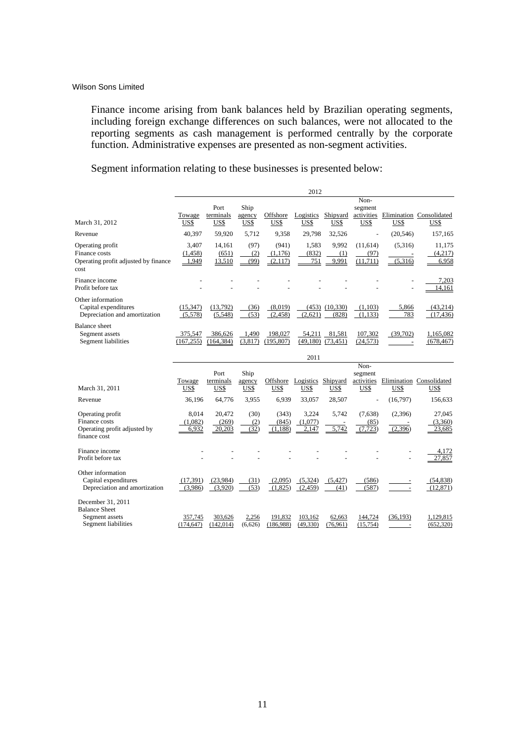Finance income arising from bank balances held by Brazilian operating segments, including foreign exchange differences on such balances, were not allocated to the reporting segments as cash management is performed centrally by the corporate function. Administrative expenses are presented as non-segment activities.

Segment information relating to these businesses is presented below:

|                                                                                   |                            |                           |                        |                             | 2012                       |                       |                                       |                    |                                  |
|-----------------------------------------------------------------------------------|----------------------------|---------------------------|------------------------|-----------------------------|----------------------------|-----------------------|---------------------------------------|--------------------|----------------------------------|
| March 31, 2012                                                                    | Towage<br>US\$             | Port<br>terminals<br>US\$ | Ship<br>agency<br>US\$ | Offshore<br>US\$            | Logistics<br>US\$          | Shipyard<br>US\$      | Non-<br>segment<br>activities<br>US\$ | US\$               | Elimination Consolidated<br>US\$ |
| Revenue                                                                           | 40,397                     | 59,920                    | 5,712                  | 9,358                       | 29,798                     | 32,526                |                                       | (20, 546)          | 157,165                          |
| Operating profit<br>Finance costs<br>Operating profit adjusted by finance<br>cost | 3,407<br>(1, 458)<br>1,949 | 14,161<br>(651)<br>13,510 | (97)<br>(2)<br>(99)    | (941)<br>(1,176)<br>(2,117) | 1,583<br>(832)<br>751      | 9,992<br>(1)<br>9.991 | (11,614)<br>(97)<br>(11.711)          | (5,316)<br>(5,316) | 11,175<br>(4,217)<br>6,958       |
| Finance income<br>Profit before tax                                               |                            |                           |                        |                             |                            |                       |                                       |                    | 7,203<br>14,161                  |
| Other information<br>Capital expenditures<br>Depreciation and amortization        | (15, 347)<br>(5,578)       | (13,792)<br>(5,548)       | (36)<br>(53)           | (8,019)<br>(2, 458)         | (453)<br>(2,621)           | (10, 330)<br>(828)    | (1,103)<br>(1,133)                    | 5,866<br>783       | (43,214)<br>(17, 436)            |
| <b>Balance</b> sheet<br>Segment assets<br>Segment liabilities                     | 375,547<br>(167, 255)      | 386,626<br>(164, 384)     | 1,490<br>(3,817)       | 198,027<br>(195, 807)       | 54,211<br>(49,180)<br>2011 | 81,581<br>(73, 451)   | 107,302<br>(24, 573)                  | (39,702)           | 1,165,082<br>(678, 467)          |
|                                                                                   |                            | Port                      | Shin                   |                             |                            |                       | Non-<br>segment                       |                    |                                  |

|                               |            | Port       | Ship    |           |           |           | segment                  |           |                          |
|-------------------------------|------------|------------|---------|-----------|-----------|-----------|--------------------------|-----------|--------------------------|
|                               | Towage     | terminals  | agency  | Offshore  | Logistics | Shipyard  | activities               |           | Elimination Consolidated |
| March 31, 2011                | US\$       | US\$       | US\$    | US\$      | US\$      | US\$      | US\$                     | US\$      | US\$                     |
| Revenue                       | 36,196     | 64,776     | 3,955   | 6,939     | 33,057    | 28,507    | $\overline{\phantom{a}}$ | (16,797)  | 156,633                  |
| Operating profit              | 8.014      | 20,472     | (30)    | (343)     | 3,224     | 5,742     | (7,638)                  | (2,396)   | 27,045                   |
| Finance costs                 | (1,082)    | (269)      | (2)     | (845)     | (1,077)   |           | (85)                     |           | (3,360)                  |
| Operating profit adjusted by  | 6.932      | 20.203     | (32)    | (1.188)   | 2.147     | 5.742     | .723<br>(7,              | (2,396)   | 23.685                   |
| finance cost                  |            |            |         |           |           |           |                          |           |                          |
| Finance income                |            |            |         |           |           |           |                          |           | 4,172                    |
| Profit before tax             |            |            |         |           |           |           |                          |           | 27,857                   |
| Other information             |            |            |         |           |           |           |                          |           |                          |
| Capital expenditures          | (17, 391)  | (23,984)   | (31)    | (2,095)   | (5,324)   | (5,427)   | (586)                    |           | (54, 838)                |
| Depreciation and amortization | (3,986)    | (3,920)    | (53)    | (1,825)   | (2,459)   | (41)      | (587)                    |           | (12, 871)                |
| December 31, 2011             |            |            |         |           |           |           |                          |           |                          |
| <b>Balance Sheet</b>          |            |            |         |           |           |           |                          |           |                          |
| Segment assets                | 357,745    | 303,626    | 2,256   | 191,832   | 103,162   | 62,663    | 144,724                  | (36, 193) | 1,129,815                |
| Segment liabilities           | (174, 647) | (142, 014) | (6,626) | (186,988) | (49, 330) | (76, 961) | (15, 754)                |           | (652, 320)               |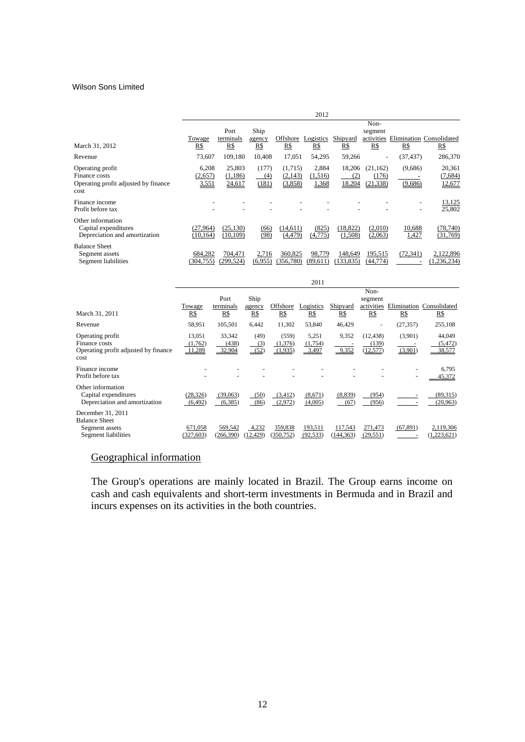|                                                                                   |                           |                             |                       |                               | 2012                      |                         |                                 |                    |                                        |
|-----------------------------------------------------------------------------------|---------------------------|-----------------------------|-----------------------|-------------------------------|---------------------------|-------------------------|---------------------------------|--------------------|----------------------------------------|
|                                                                                   |                           | Port                        | Ship                  |                               |                           |                         | Non-<br>segment                 |                    |                                        |
| March 31, 2012                                                                    | Towage<br>R\$             | terminals<br>R\$            | agency<br>R\$         | Offshore<br>R\$               | Logistics<br>R\$          | Shipyard<br>R\$         | activities<br>R\$               | R\$                | Elimination Consolidated<br><u>R\$</u> |
| Revenue                                                                           | 73.607                    | 109.180                     | 10.408                | 17.051                        | 54,295                    | 59,266                  | $\overline{\phantom{a}}$        | (37, 437)          | 286,370                                |
| Operating profit<br>Finance costs<br>Operating profit adjusted by finance<br>cost | 6,208<br>(2,657)<br>3,551 | 25,803<br>(1,186)<br>24,617 | (177)<br>(4)<br>(181) | (1,715)<br>(2,143)<br>(3,858) | 2,884<br>(1,516)<br>1,368 | 18,206<br>(2)<br>18,204 | (21, 162)<br>(176)<br>(21, 338) | (9,686)<br>(9,686) | 20,361<br>(7,684)<br>12,677            |
| Finance income<br>Profit before tax                                               |                           |                             |                       |                               |                           |                         |                                 |                    | 13,125<br>25,802                       |
| Other information<br>Capital expenditures<br>Depreciation and amortization        | (27,964)<br>(10, 164)     | (25, 130)<br>(10, 109)      | (66)<br>(98)          | (14.611)<br>(4, 479)          | (825)<br>(4,775)          | (18, 822)<br>(1,508)    | (2,010)<br>(2,063)              | 10,688<br>1,427    | (78,740)<br>(31,769)                   |
| <b>Balance Sheet</b><br>Segment assets<br>Segment liabilities                     | 684,282<br>(304, 755)     | 704,471<br>(299, 524)       | 2,716<br>(6.955)      | 360,825<br>(356, 780)         | 98,779<br>(89.611)        | 148,649<br>133,835)     | 195,515<br>(44,774)             | (72, 341)          | 2,122,896<br>(1, 236, 234)             |

|                                                                                    |                             |                           |                       |                             | 2011                      |                       |                                      |                    |                                 |
|------------------------------------------------------------------------------------|-----------------------------|---------------------------|-----------------------|-----------------------------|---------------------------|-----------------------|--------------------------------------|--------------------|---------------------------------|
| March 31, 2011                                                                     | Towage<br>R\$               | Port<br>terminals<br>R\$  | Ship<br>agency<br>R\$ | Offshore<br>R\$             | Logistics<br>R\$          | Shipyard<br>R\$       | Non-<br>segment<br>activities<br>R\$ | R\$                | Elimination Consolidated<br>R\$ |
| Revenue                                                                            | 58,951                      | 105,501                   | 6,442                 | 11,302                      | 53,840                    | 46,429                | -                                    | (27, 357)          | 255,108                         |
| Operating profit<br>Finance costs<br>Operating profit adjusted by finance<br>cost  | 13,051<br>(1,762)<br>11,289 | 33,342<br>(438)<br>32,904 | (49)<br>(3)<br>(52)   | (559)<br>(1,376)<br>(1,935) | 5,251<br>(1,754)<br>3,497 | 9,352<br>9,352        | (12, 438)<br>(139)<br>(12, 577)      | (3,901)<br>(3,901) | 44,049<br>(5, 472)<br>38,577    |
| Finance income<br>Profit before tax                                                |                             |                           |                       |                             |                           |                       |                                      |                    | 6,795<br>45.372                 |
| Other information<br>Capital expenditures<br>Depreciation and amortization         | (28, 326)<br>(6, 492)       | (39,063)<br>(6, 385)      | (50)<br>(86)          | (3,412)<br>(2,972)          | (8,671)<br>(4,005)        | (8,839)<br>(67)       | (954)<br>(956)                       |                    | (89,315)<br>(20, 963)           |
| December 31, 2011<br><b>Balance Sheet</b><br>Segment assets<br>Segment liabilities | 671,058<br>(327, 603)       | 569,542<br>(266, 390)     | 4,232<br>12,429       | 359,838<br>350,752)         | 193,511<br>(92, 533)      | 117,543<br>(144, 363) | 271,473<br>(29, 551)                 | (67, 891)          | 2,119,306<br>(1,223,621)        |

# Geographical information

The Group's operations are mainly located in Brazil. The Group earns income on cash and cash equivalents and short-term investments in Bermuda and in Brazil and incurs expenses on its activities in the both countries.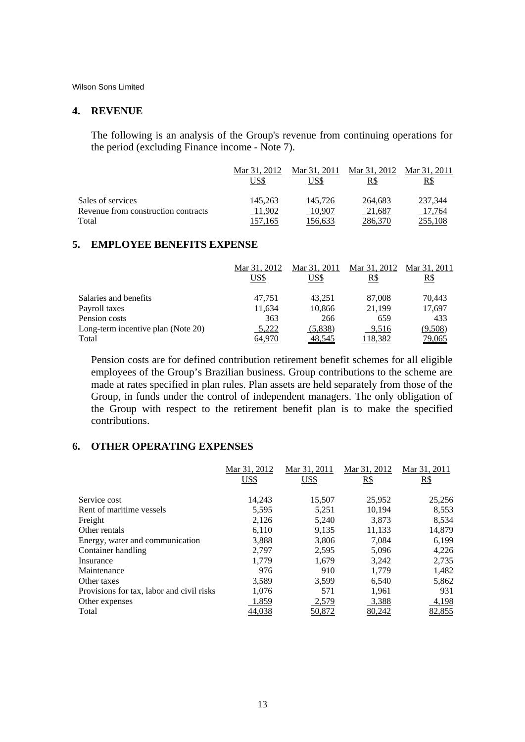#### **4. REVENUE**

The following is an analysis of the Group's revenue from continuing operations for the period (excluding Finance income - Note 7).

|                                     | Mar 31, 2012<br>US\$ | Mar 31, 2011<br>US\$ | Mar 31, 2012<br>R\$ | Mar 31, 2011<br>R\$ |
|-------------------------------------|----------------------|----------------------|---------------------|---------------------|
| Sales of services                   | 145.263              | 145,726              | 264,683             | 237,344             |
| Revenue from construction contracts | 11.902               | 10.907               | 21.687              | 17.764              |
| Total                               | 157.165              | 156.633              | 286.370             | 255,108             |

# **5. EMPLOYEE BENEFITS EXPENSE**

|                                    | Mar 31, 2012 | Mar 31, 2011 | Mar 31, 2012 | Mar 31, 2011 |
|------------------------------------|--------------|--------------|--------------|--------------|
|                                    | US\$         | US\$         | R\$          | R\$          |
| Salaries and benefits              | 47.751       | 43.251       | 87,008       | 70,443       |
| Payroll taxes                      | 11,634       | 10,866       | 21.199       | 17,697       |
| Pension costs                      | 363          | 266          | 659          | 433          |
| Long-term incentive plan (Note 20) | 5,222        | (5,838)      | 9,516        | (9,508)      |
| Total                              | 64,970       | 48,545       | 118,382      | 79,065       |

Pension costs are for defined contribution retirement benefit schemes for all eligible employees of the Group's Brazilian business. Group contributions to the scheme are made at rates specified in plan rules. Plan assets are held separately from those of the Group, in funds under the control of independent managers. The only obligation of the Group with respect to the retirement benefit plan is to make the specified contributions.

# **6. OTHER OPERATING EXPENSES**

|                                           | Mar 31, 2012 | Mar 31, 2011 | Mar 31, 2012 | Mar 31, 2011 |
|-------------------------------------------|--------------|--------------|--------------|--------------|
|                                           | US\$         | US\$         | R\$          | $R\$         |
|                                           |              |              |              |              |
| Service cost                              | 14,243       | 15,507       | 25,952       | 25,256       |
| Rent of maritime vessels                  | 5,595        | 5,251        | 10,194       | 8,553        |
| Freight                                   | 2,126        | 5,240        | 3,873        | 8,534        |
| Other rentals                             | 6.110        | 9.135        | 11,133       | 14,879       |
| Energy, water and communication           | 3,888        | 3,806        | 7,084        | 6,199        |
| Container handling                        | 2,797        | 2,595        | 5,096        | 4,226        |
| Insurance                                 | 1,779        | 1,679        | 3,242        | 2,735        |
| Maintenance                               | 976          | 910          | 1.779        | 1,482        |
| Other taxes                               | 3,589        | 3.599        | 6,540        | 5,862        |
| Provisions for tax, labor and civil risks | 1,076        | 571          | 1,961        | 931          |
| Other expenses                            | 1,859        | 2,579        | 3,388        | 4,198        |
| Total                                     | 44,038       | 50,872       | 80,242       | 82,855       |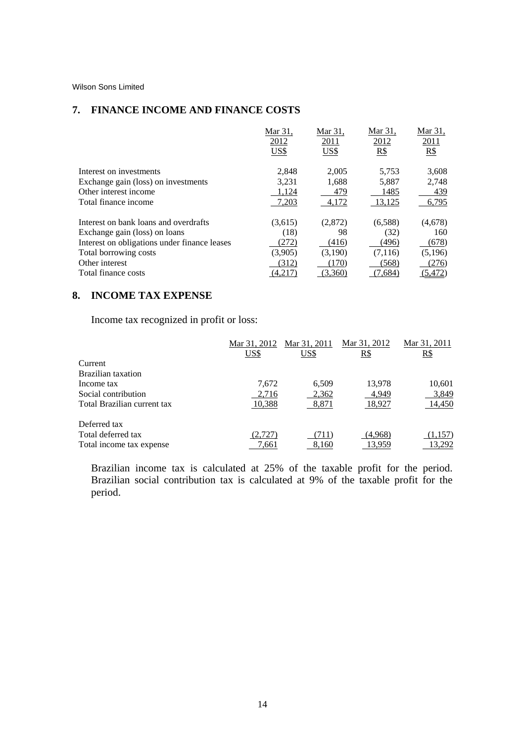# **7. FINANCE INCOME AND FINANCE COSTS**

|                                              | Mar 31.      | Mar 31.      | Mar 31.     | Mar 31,     |
|----------------------------------------------|--------------|--------------|-------------|-------------|
|                                              | 2012<br>US\$ | 2011<br>US\$ | 2012<br>R\$ | 2011<br>R\$ |
|                                              |              |              |             |             |
| Interest on investments                      | 2,848        | 2.005        | 5,753       | 3,608       |
| Exchange gain (loss) on investments          | 3,231        | 1,688        | 5,887       | 2,748       |
| Other interest income                        | 1,124        | 479          | 1485        | 439         |
| Total finance income                         | 7,203        | 4,172        | 13,125      | 6,795       |
| Interest on bank loans and overdrafts        | (3,615)      | (2,872)      | (6,588)     | (4,678)     |
| Exchange gain (loss) on loans                | (18)         | 98           | (32)        | 160         |
| Interest on obligations under finance leases | (272)        | (416)        | (496)       | (678)       |
| Total borrowing costs                        | (3,905)      | (3,190)      | (7,116)     | (5,196)     |
| Other interest                               | (312)        | (170)        | (568)       | (276)       |
| Total finance costs                          | (4,217)      | (3,360)      | 7,684)      | (5,472)     |

# **8. INCOME TAX EXPENSE**

Income tax recognized in profit or loss:

|                             | Mar 31, 2012 | Mar 31, 2011 | Mar 31, 2012 | Mar 31, 2011 |
|-----------------------------|--------------|--------------|--------------|--------------|
|                             | US\$         | US\$         | <u>R\$</u>   | <u>R\$</u>   |
| Current                     |              |              |              |              |
| Brazilian taxation          |              |              |              |              |
| Income tax                  | 7,672        | 6,509        | 13,978       | 10,601       |
| Social contribution         | 2,716        | 2,362        | 4,949        | 3,849        |
| Total Brazilian current tax | 10,388       | 8,871        | 18,927       | 14,450       |
| Deferred tax                |              |              |              |              |
| Total deferred tax          | (2,727)      | 711          | (4,968)      | .157         |
| Total income tax expense    | 7.661        | 8,160        | 13,959       | 13,292       |

Brazilian income tax is calculated at 25% of the taxable profit for the period. Brazilian social contribution tax is calculated at 9% of the taxable profit for the period.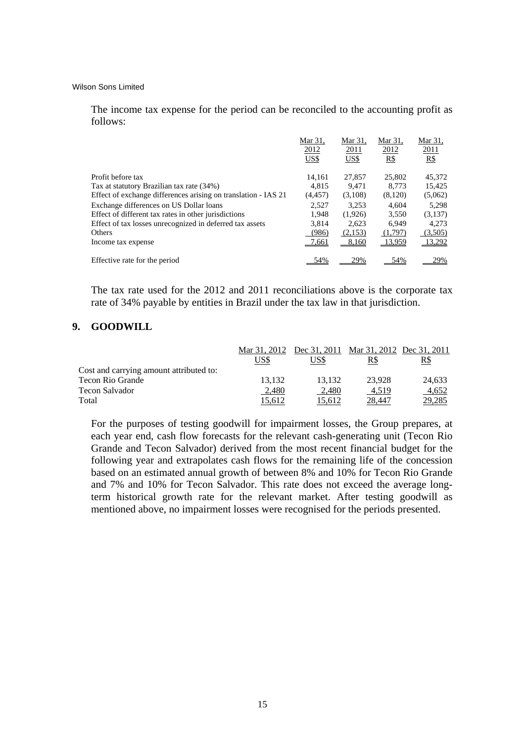The income tax expense for the period can be reconciled to the accounting profit as follows:

|                                                                | Mar 31.  | Mar 31, | Mar 31. | Mar 31. |
|----------------------------------------------------------------|----------|---------|---------|---------|
|                                                                | 2012     | 2011    | 2012    | 2011    |
|                                                                | US\$     | US\$    | R\$     | R\$     |
| Profit before tax                                              | 14.161   | 27,857  | 25,802  | 45,372  |
| Tax at statutory Brazilian tax rate (34%)                      | 4.815    | 9.471   | 8.773   | 15,425  |
| Effect of exchange differences arising on translation - IAS 21 | (4, 457) | (3,108) | (8,120) | (5,062) |
| Exchange differences on US Dollar loans                        | 2.527    | 3.253   | 4.604   | 5,298   |
| Effect of different tax rates in other jurisdictions           | 1.948    | (1,926) | 3,550   | (3,137) |
| Effect of tax losses unrecognized in deferred tax assets       | 3.814    | 2.623   | 6.949   | 4.273   |
| Others                                                         | (986)    | (2,153) | (1,797) | (3,505) |
| Income tax expense                                             | 7,661    | 8,160   | 13,959  | 13,292  |
| Effective rate for the period                                  | 54%      | 29%     | 54%     | 29%     |

The tax rate used for the 2012 and 2011 reconciliations above is the corporate tax rate of 34% payable by entities in Brazil under the tax law in that jurisdiction.

# **9. GOODWILL**

|                                         | Mar 31, 2012 | Dec 31, 2011 Mar 31, 2012 Dec 31, 2011 |        |            |
|-----------------------------------------|--------------|----------------------------------------|--------|------------|
|                                         | US\$         | US\$                                   | R\$    | <u>R\$</u> |
| Cost and carrying amount attributed to: |              |                                        |        |            |
| Tecon Rio Grande                        | 13.132       | 13.132                                 | 23.928 | 24.633     |
| Tecon Salvador                          | 2,480        | 2.480                                  | 4,519  | 4,652      |
| Total                                   | 15.612       | 15.612                                 | 28.447 | 29,285     |

For the purposes of testing goodwill for impairment losses, the Group prepares, at each year end, cash flow forecasts for the relevant cash-generating unit (Tecon Rio Grande and Tecon Salvador) derived from the most recent financial budget for the following year and extrapolates cash flows for the remaining life of the concession based on an estimated annual growth of between 8% and 10% for Tecon Rio Grande and 7% and 10% for Tecon Salvador. This rate does not exceed the average longterm historical growth rate for the relevant market. After testing goodwill as mentioned above, no impairment losses were recognised for the periods presented.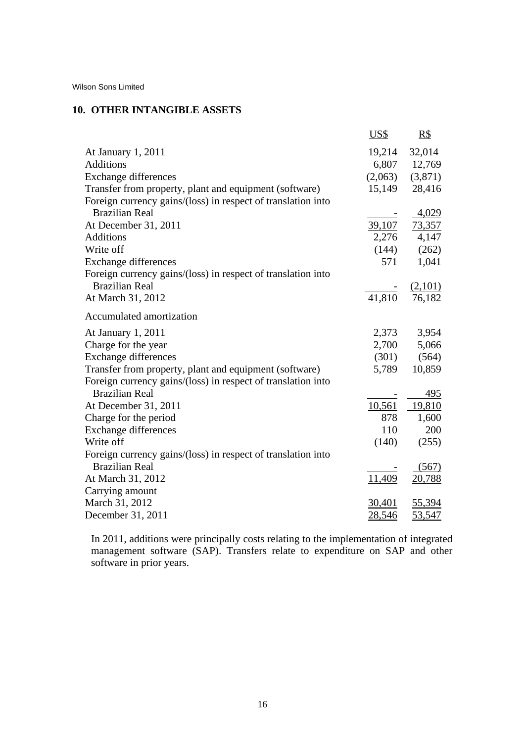# **10. OTHER INTANGIBLE ASSETS**

|                                                              | US\$    | $\underline{R\$}$ |
|--------------------------------------------------------------|---------|-------------------|
| At January 1, 2011                                           | 19,214  | 32,014            |
| Additions                                                    | 6,807   | 12,769            |
| <b>Exchange differences</b>                                  | (2,063) | (3,871)           |
| Transfer from property, plant and equipment (software)       | 15,149  | 28,416            |
| Foreign currency gains/(loss) in respect of translation into |         |                   |
| <b>Brazilian Real</b>                                        |         | 4,029             |
| At December 31, 2011                                         | 39,107  | <u>73,357</u>     |
| Additions                                                    | 2,276   | 4,147             |
| Write off                                                    | (144)   | (262)             |
| <b>Exchange differences</b>                                  | 571     | 1,041             |
| Foreign currency gains/(loss) in respect of translation into |         |                   |
| <b>Brazilian Real</b>                                        |         | (2,101)           |
| At March 31, 2012                                            | 41,810  | 76,182            |
| Accumulated amortization                                     |         |                   |
| At January 1, 2011                                           | 2,373   | 3,954             |
| Charge for the year                                          | 2,700   | 5,066             |
| <b>Exchange differences</b>                                  | (301)   | (564)             |
| Transfer from property, plant and equipment (software)       | 5,789   | 10,859            |
| Foreign currency gains/(loss) in respect of translation into |         |                   |
| <b>Brazilian Real</b>                                        |         | 495               |
| At December 31, 2011                                         | 10,561  | 19,810            |
| Charge for the period                                        | 878     | 1,600             |
| Exchange differences                                         | 110     | 200               |
| Write off                                                    | (140)   | (255)             |
| Foreign currency gains/(loss) in respect of translation into |         |                   |
| <b>Brazilian Real</b>                                        |         | (567)             |
| At March 31, 2012                                            | 11,409  | 20,788            |
| Carrying amount                                              |         |                   |
| March 31, 2012                                               | 30,401  | 55,394            |
| December 31, 2011                                            | 28,546  | 53,547            |

In 2011, additions were principally costs relating to the implementation of integrated management software (SAP). Transfers relate to expenditure on SAP and other software in prior years.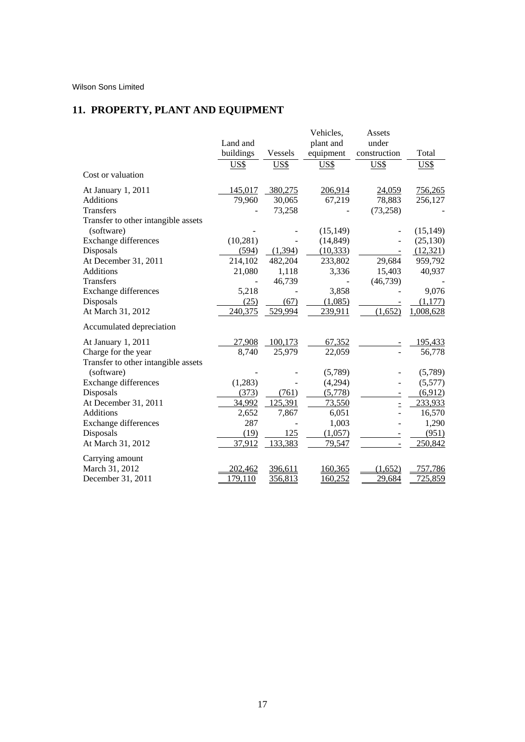# **11. PROPERTY, PLANT AND EQUIPMENT**

|                                     |           |         | Vehicles, | Assets       |                |
|-------------------------------------|-----------|---------|-----------|--------------|----------------|
|                                     | Land and  |         | plant and | under        |                |
|                                     | buildings | Vessels | equipment | construction | Total          |
|                                     | US\$      | US\$    | US\$      | US\$         | US\$           |
| Cost or valuation                   |           |         |           |              |                |
| At January 1, 2011                  | 145,017   | 380,275 | 206,914   | 24,059       | 756,265        |
| <b>Additions</b>                    | 79,960    | 30,065  | 67,219    | 78,883       | 256,127        |
| Transfers                           |           | 73,258  |           | (73, 258)    |                |
| Transfer to other intangible assets |           |         |           |              |                |
| (software)                          |           |         | (15, 149) |              | (15, 149)      |
| <b>Exchange differences</b>         | (10, 281) |         | (14, 849) |              | (25, 130)      |
| Disposals                           | (594)     | (1,394) | (10, 333) |              | (12, 321)      |
| At December 31, 2011                | 214,102   | 482,204 | 233,802   | 29,684       | 959,792        |
| <b>Additions</b>                    | 21,080    | 1,118   | 3,336     | 15,403       | 40,937         |
| Transfers                           |           | 46,739  |           | (46, 739)    |                |
| <b>Exchange differences</b>         | 5,218     |         | 3,858     |              | 9,076          |
| Disposals                           | (25)      | (67)    | (1,085)   |              | (1,177)        |
| At March 31, 2012                   | 240,375   | 529,994 | 239,911   | (1,652)      | 1,008,628      |
| Accumulated depreciation            |           |         |           |              |                |
| At January 1, 2011                  | 27,908    | 100,173 | 67,352    |              | 195,433        |
| Charge for the year                 | 8,740     | 25,979  | 22,059    |              | 56,778         |
| Transfer to other intangible assets |           |         |           |              |                |
| (software)                          |           |         | (5,789)   |              | (5,789)        |
| Exchange differences                | (1,283)   |         | (4,294)   |              | (5,577)        |
| Disposals                           | (373)     | (761)   | (5,778)   |              | (6,912)        |
| At December 31, 2011                | 34,992    | 125,391 | 73,550    | Ë            | 233,933        |
| <b>Additions</b>                    | 2,652     | 7,867   | 6,051     |              | 16,570         |
| <b>Exchange differences</b>         | 287       |         | 1,003     |              | 1,290          |
| Disposals                           | (19)      | 125     | (1,057)   |              | (951)          |
| At March 31, 2012                   | 37,912    | 133,383 | 79,547    |              | 250,842        |
| Carrying amount                     |           |         |           |              |                |
| March 31, 2012                      | 202,462   | 396,611 | 160,365   | (1,652)      | 757,786        |
| December 31, 2011                   | 179,110   | 356,813 | 160,252   | 29,684       | <u>725,859</u> |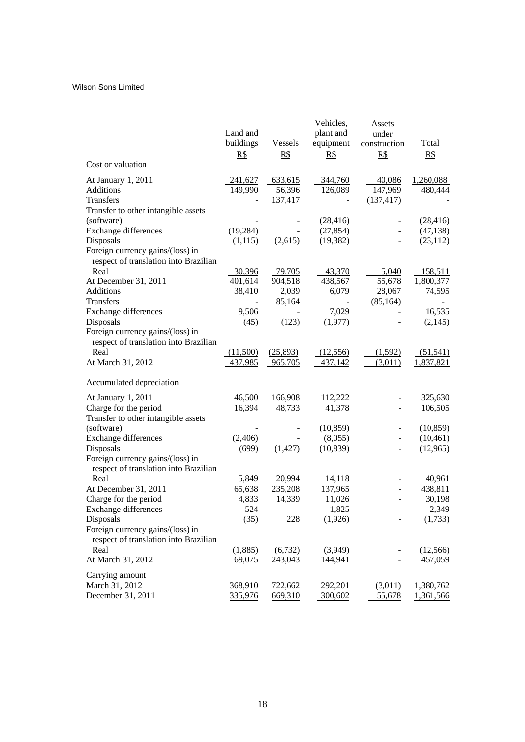|                                       |           |          | Vehicles, | Assets                       |           |
|---------------------------------------|-----------|----------|-----------|------------------------------|-----------|
|                                       | Land and  |          | plant and | under                        |           |
|                                       | buildings | Vessels  | equipment | construction                 | Total     |
|                                       | R\$       | R\$      | R\$       | R\$                          | R\$       |
| Cost or valuation                     |           |          |           |                              |           |
| At January 1, 2011                    | 241,627   | 633,615  | 344,760   | 40,086                       | 1,260,088 |
| <b>Additions</b>                      | 149,990   | 56,396   | 126,089   | 147,969                      | 480,444   |
| Transfers                             |           | 137,417  |           | (137, 417)                   |           |
| Transfer to other intangible assets   |           |          |           |                              |           |
| (software)                            |           |          | (28, 416) |                              | (28, 416) |
| <b>Exchange differences</b>           | (19, 284) |          | (27, 854) |                              | (47, 138) |
| Disposals                             | (1,115)   | (2,615)  | (19, 382) |                              | (23, 112) |
| Foreign currency gains/(loss) in      |           |          |           |                              |           |
| respect of translation into Brazilian |           |          |           |                              |           |
| Real                                  | 30,396    | 79,705   | 43,370    | 5,040                        | 158,511   |
| At December 31, 2011                  | 401,614   | 904,518  | 438,567   | 55,678                       | 1,800,377 |
| <b>Additions</b>                      | 38,410    | 2,039    | 6,079     | 28,067                       | 74,595    |
| <b>Transfers</b>                      |           | 85,164   |           | (85, 164)                    |           |
| <b>Exchange differences</b>           | 9,506     |          | 7,029     |                              | 16,535    |
| Disposals                             | (45)      | (123)    | (1,977)   |                              | (2,145)   |
| Foreign currency gains/(loss) in      |           |          |           |                              |           |
| respect of translation into Brazilian |           |          |           |                              |           |
| Real                                  | (11,500)  | (25,893) | (12,556)  | (1,592)                      | (51, 541) |
| At March 31, 2012                     | 437,985   | 965,705  | 437,142   | (3,011)                      | 1,837,821 |
|                                       |           |          |           |                              |           |
| Accumulated depreciation              |           |          |           |                              |           |
| At January 1, 2011                    | 46,500    | 166,908  | 112,222   |                              | 325,630   |
| Charge for the period                 | 16,394    | 48,733   | 41,378    |                              | 106,505   |
| Transfer to other intangible assets   |           |          |           |                              |           |
| (software)                            |           |          | (10, 859) | $\overline{\phantom{a}}$     | (10, 859) |
| <b>Exchange differences</b>           | (2,406)   |          | (8,055)   | ÷,                           | (10, 461) |
| Disposals                             | (699)     | (1, 427) | (10, 839) |                              | (12,965)  |
| Foreign currency gains/(loss) in      |           |          |           |                              |           |
| respect of translation into Brazilian |           |          |           |                              |           |
| Real                                  | 5,849     | 20,994   | 14,118    | Ξ                            | 40,961    |
| At December 31, 2011                  | 65,638    | 235,208  | 137,965   | $\qquad \qquad \blacksquare$ | 438,811   |
| Charge for the period                 | 4,833     | 14,339   | 11,026    | $\overline{a}$               | 30,198    |
| <b>Exchange differences</b>           | 524       |          | 1,825     |                              | 2,349     |
| Disposals                             | (35)      | 228      | (1,926)   |                              | (1,733)   |
| Foreign currency gains/(loss) in      |           |          |           |                              |           |
| respect of translation into Brazilian |           |          |           |                              |           |
| Real                                  | (1,885)   | (6, 732) | (3,949)   | $\equiv$                     | (12,566)  |
| At March 31, 2012                     | 69,075    | 243,043  | 144,941   | $\equiv$                     | 457,059   |
| Carrying amount                       |           |          |           |                              |           |
| March 31, 2012                        | 368,910   | 722,662  | 292,201   | (3,011)                      | 1,380,762 |
| December 31, 2011                     | 335,976   | 669,310  | 300,602   | 55,678                       | 1,361,566 |
|                                       |           |          |           |                              |           |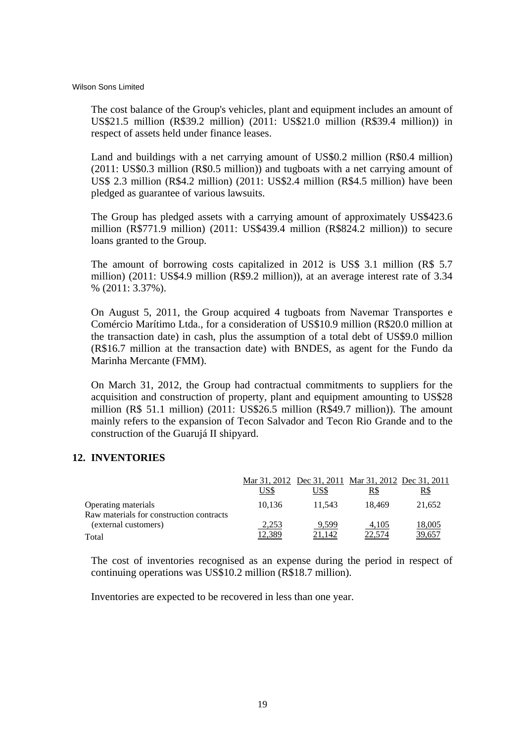The cost balance of the Group's vehicles, plant and equipment includes an amount of US\$21.5 million (R\$39.2 million) (2011: US\$21.0 million (R\$39.4 million)) in respect of assets held under finance leases.

Land and buildings with a net carrying amount of US\$0.2 million (R\$0.4 million) (2011: US\$0.3 million (R\$0.5 million)) and tugboats with a net carrying amount of US\$ 2.3 million (R\$4.2 million) (2011: US\$2.4 million (R\$4.5 million) have been pledged as guarantee of various lawsuits.

The Group has pledged assets with a carrying amount of approximately US\$423.6 million (R\$771.9 million) (2011: US\$439.4 million (R\$824.2 million)) to secure loans granted to the Group.

The amount of borrowing costs capitalized in 2012 is US\$ 3.1 million (R\$ 5.7 million) (2011: US\$4.9 million (R\$9.2 million)), at an average interest rate of 3.34 % (2011: 3.37%).

On August 5, 2011, the Group acquired 4 tugboats from Navemar Transportes e Comércio Marítimo Ltda., for a consideration of US\$10.9 million (R\$20.0 million at the transaction date) in cash, plus the assumption of a total debt of US\$9.0 million (R\$16.7 million at the transaction date) with BNDES, as agent for the Fundo da Marinha Mercante (FMM).

On March 31, 2012, the Group had contractual commitments to suppliers for the acquisition and construction of property, plant and equipment amounting to US\$28 million (R\$ 51.1 million) (2011: US\$26.5 million (R\$49.7 million)). The amount mainly refers to the expansion of Tecon Salvador and Tecon Rio Grande and to the construction of the Guarujá II shipyard.

# **12. INVENTORIES**

|                                                                 |        |        | Mar 31, 2012 Dec 31, 2011 Mar 31, 2012 Dec 31, 2011 |        |
|-----------------------------------------------------------------|--------|--------|-----------------------------------------------------|--------|
|                                                                 | US\$   | US\$   | R\$                                                 | R\$    |
| Operating materials<br>Raw materials for construction contracts | 10.136 | 11.543 | 18.469                                              | 21,652 |
| (external customers)                                            | 2,253  | 9,599  | 4,105                                               | 18,005 |
| Total                                                           | 12.389 | 21,142 | 22,574                                              | 39,657 |

The cost of inventories recognised as an expense during the period in respect of continuing operations was US\$10.2 million (R\$18.7 million).

Inventories are expected to be recovered in less than one year.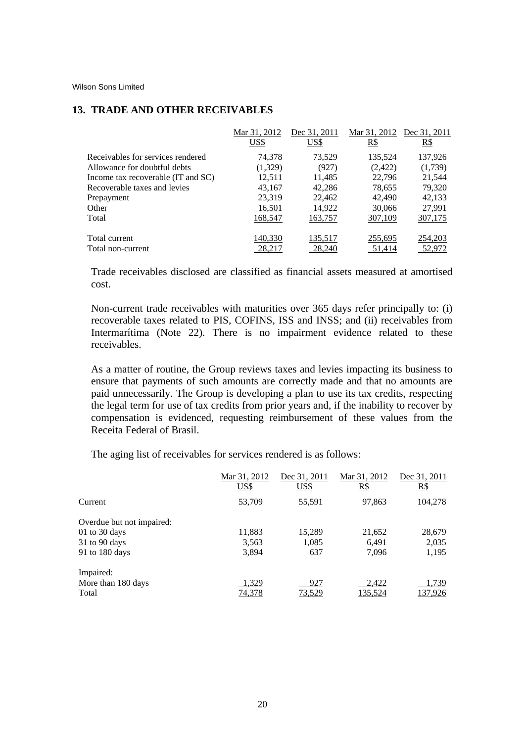# **13. TRADE AND OTHER RECEIVABLES**

|                                    | Mar 31, 2012 | Dec 31, 2011 | Mar 31, 2012 | Dec 31, 2011 |
|------------------------------------|--------------|--------------|--------------|--------------|
|                                    | US\$         | US\$         | <u>R\$</u>   | $R\$         |
| Receivables for services rendered  | 74,378       | 73,529       | 135,524      | 137,926      |
| Allowance for doubtful debts       | (1,329)      | (927)        | (2,422)      | (1,739)      |
| Income tax recoverable (IT and SC) | 12,511       | 11,485       | 22,796       | 21,544       |
| Recoverable taxes and levies       | 43,167       | 42,286       | 78,655       | 79,320       |
| Prepayment                         | 23,319       | 22,462       | 42,490       | 42,133       |
| Other                              | 16,501       | 14,922       | 30,066       | 27,991       |
| Total                              | 168,547      | 163,757      | 307,109      | 307,175      |
| Total current                      | 140,330      | 135,517      | 255,695      | 254,203      |
| Total non-current                  | 28.217       | 28,240       | 51.414       | 52,972       |

Trade receivables disclosed are classified as financial assets measured at amortised cost.

Non-current trade receivables with maturities over 365 days refer principally to: (i) recoverable taxes related to PIS, COFINS, ISS and INSS; and (ii) receivables from Intermarítima (Note 22). There is no impairment evidence related to these receivables.

As a matter of routine, the Group reviews taxes and levies impacting its business to ensure that payments of such amounts are correctly made and that no amounts are paid unnecessarily. The Group is developing a plan to use its tax credits, respecting the legal term for use of tax credits from prior years and, if the inability to recover by compensation is evidenced, requesting reimbursement of these values from the Receita Federal of Brasil.

The aging list of receivables for services rendered is as follows:

|                           | Mar 31, 2012<br>US\$ | Dec 31, 2011<br>US\$ | Mar 31, 2012<br>R\$ | Dec 31, 2011<br>R\$ |
|---------------------------|----------------------|----------------------|---------------------|---------------------|
| Current                   | 53,709               | 55,591               | 97,863              | 104,278             |
| Overdue but not impaired: |                      |                      |                     |                     |
| $01$ to 30 days           | 11,883               | 15,289               | 21,652              | 28,679              |
| 31 to 90 days             | 3,563                | 1,085                | 6,491               | 2,035               |
| 91 to 180 days            | 3,894                | 637                  | 7,096               | 1,195               |
| Impaired:                 |                      |                      |                     |                     |
| More than 180 days        | 1,329                | 927                  | 2,422               | 1,739               |
| Total                     | 74,378               | 73,529               | 135,524             | 137,926             |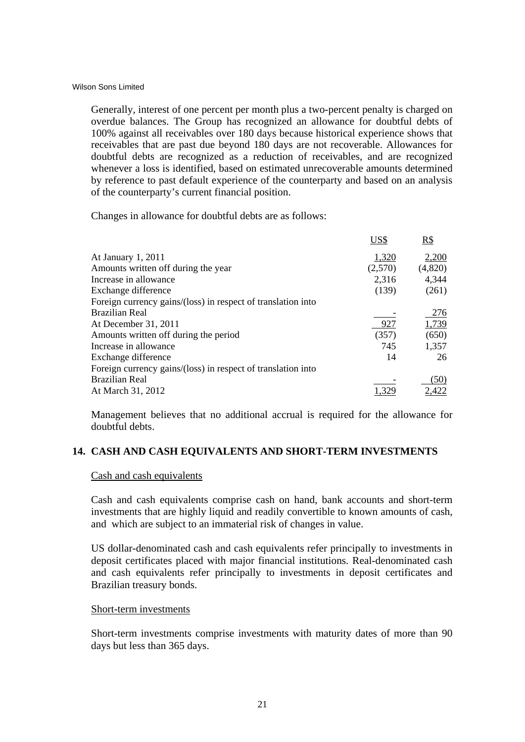Generally, interest of one percent per month plus a two-percent penalty is charged on overdue balances. The Group has recognized an allowance for doubtful debts of 100% against all receivables over 180 days because historical experience shows that receivables that are past due beyond 180 days are not recoverable. Allowances for doubtful debts are recognized as a reduction of receivables, and are recognized whenever a loss is identified, based on estimated unrecoverable amounts determined by reference to past default experience of the counterparty and based on an analysis of the counterparty's current financial position.

Changes in allowance for doubtful debts are as follows:

|                                                              | US\$    | R\$     |
|--------------------------------------------------------------|---------|---------|
| At January 1, 2011                                           | 1,320   | 2,200   |
| Amounts written off during the year                          | (2,570) | (4,820) |
| Increase in allowance                                        | 2,316   | 4,344   |
| Exchange difference                                          | (139)   | (261)   |
| Foreign currency gains/(loss) in respect of translation into |         |         |
| <b>Brazilian Real</b>                                        |         | 276     |
| At December 31, 2011                                         | 927     | 1,739   |
| Amounts written off during the period                        | (357)   | (650)   |
| Increase in allowance                                        | 745     | 1,357   |
| Exchange difference                                          | 14      | 26      |
| Foreign currency gains/(loss) in respect of translation into |         |         |
| <b>Brazilian Real</b>                                        |         | (50)    |
| At March 31, 2012                                            |         | 2,422   |

Management believes that no additional accrual is required for the allowance for doubtful debts.

# **14. CASH AND CASH EQUIVALENTS AND SHORT-TERM INVESTMENTS**

# Cash and cash equivalents

Cash and cash equivalents comprise cash on hand, bank accounts and short-term investments that are highly liquid and readily convertible to known amounts of cash, and which are subject to an immaterial risk of changes in value.

US dollar-denominated cash and cash equivalents refer principally to investments in deposit certificates placed with major financial institutions. Real-denominated cash and cash equivalents refer principally to investments in deposit certificates and Brazilian treasury bonds.

# Short-term investments

Short-term investments comprise investments with maturity dates of more than 90 days but less than 365 days.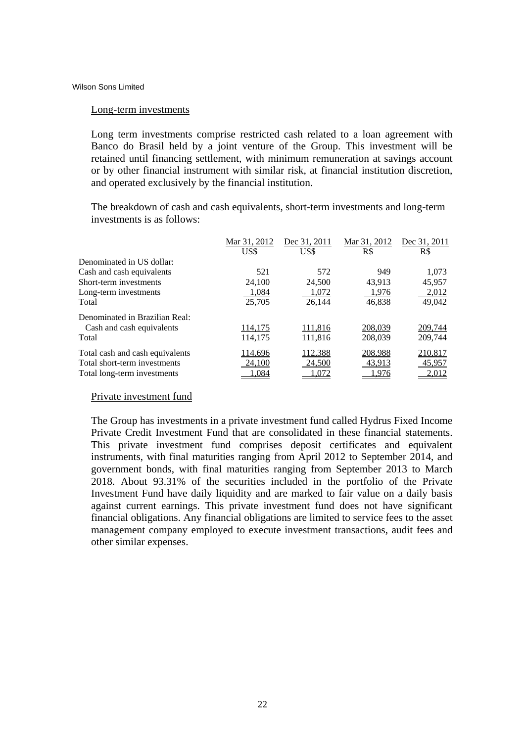#### Long-term investments

Long term investments comprise restricted cash related to a loan agreement with Banco do Brasil held by a joint venture of the Group. This investment will be retained until financing settlement, with minimum remuneration at savings account or by other financial instrument with similar risk, at financial institution discretion, and operated exclusively by the financial institution.

The breakdown of cash and cash equivalents, short-term investments and long-term investments is as follows:

|                                 | Mar 31, 2012 | Dec 31, 2011 | Mar 31, 2012 | Dec 31, 2011 |
|---------------------------------|--------------|--------------|--------------|--------------|
|                                 | US\$         | US\$         | R\$          | <u>R\$</u>   |
| Denominated in US dollar:       |              |              |              |              |
| Cash and cash equivalents       | 521          | 572          | 949          | 1,073        |
| Short-term investments          | 24,100       | 24,500       | 43,913       | 45,957       |
| Long-term investments           | 1,084        | 1,072        | 1,976        | 2,012        |
| Total                           | 25,705       | 26,144       | 46,838       | 49,042       |
| Denominated in Brazilian Real:  |              |              |              |              |
| Cash and cash equivalents       | 114,175      | 111,816      | 208,039      | 209,744      |
| Total                           | 114,175      | 111,816      | 208,039      | 209,744      |
| Total cash and cash equivalents | 114,696      | 112,388      | 208,988      | 210,817      |
| Total short-term investments    | 24,100       | 24,500       | 43,913       | 45,957       |
| Total long-term investments     | .084         | 072. ا       | 1.976        | 2,012        |

#### Private investment fund

The Group has investments in a private investment fund called Hydrus Fixed Income Private Credit Investment Fund that are consolidated in these financial statements. This private investment fund comprises deposit certificates and equivalent instruments, with final maturities ranging from April 2012 to September 2014, and government bonds, with final maturities ranging from September 2013 to March 2018. About 93.31% of the securities included in the portfolio of the Private Investment Fund have daily liquidity and are marked to fair value on a daily basis against current earnings. This private investment fund does not have significant financial obligations. Any financial obligations are limited to service fees to the asset management company employed to execute investment transactions, audit fees and other similar expenses.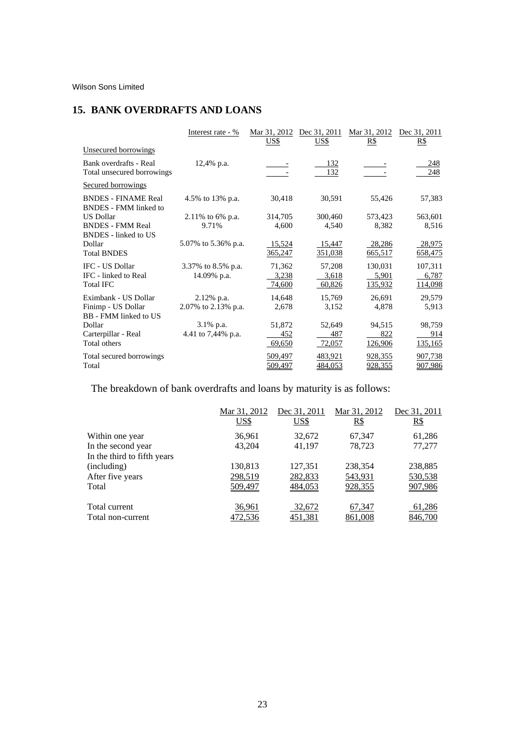# **15. BANK OVERDRAFTS AND LOANS**

|                                                            | Interest rate - %   | Mar 31, 2012<br><u>US\$</u> | Dec 31, 2011<br><u>US\$</u> | Mar 31, 2012<br><u>R\$</u> | Dec 31, 2011<br>$R\$ |
|------------------------------------------------------------|---------------------|-----------------------------|-----------------------------|----------------------------|----------------------|
| Unsecured borrowings                                       |                     |                             |                             |                            |                      |
| Bank overdrafts - Real<br>Total unsecured borrowings       | $12,4\%$ p.a.       |                             | <u> 132</u><br>132          |                            | 248<br>248           |
| <b>Secured borrowings</b>                                  |                     |                             |                             |                            |                      |
| <b>BNDES - FINAME Real</b><br><b>BNDES</b> - FMM linked to | 4.5% to 13% p.a.    | 30,418                      | 30,591                      | 55,426                     | 57,383               |
| <b>US Dollar</b>                                           | 2.11% to 6% p.a.    | 314,705                     | 300,460                     | 573,423                    | 563,601              |
| <b>BNDES - FMM Real</b><br><b>BNDES</b> - linked to US     | 9.71%               | 4,600                       | 4,540                       | 8,382                      | 8,516                |
| Dollar                                                     | 5.07% to 5.36% p.a. | 15,524                      | 15,447                      | 28,286                     | 28,975               |
| <b>Total BNDES</b>                                         |                     | 365,247                     | 351,038                     | 665,517                    | 658,475              |
| IFC - US Dollar                                            | 3.37% to 8.5% p.a.  | 71,362                      | 57,208                      | 130,031                    | 107,311              |
| IFC - linked to Real                                       | 14.09% p.a.         | 3,238                       | 3,618                       | 5,901                      | 6,787                |
| <b>Total IFC</b>                                           |                     | 74,600                      | 60,826                      | 135,932                    | 114,098              |
| Eximbank - US Dollar                                       | $2.12\%$ p.a.       | 14,648                      | 15,769                      | 26,691                     | 29,579               |
| Finimp - US Dollar<br>BB - FMM linked to US                | 2.07% to 2.13% p.a. | 2,678                       | 3,152                       | 4,878                      | 5,913                |
| Dollar                                                     | $3.1\%$ p.a.        | 51,872                      | 52,649                      | 94,515                     | 98,759               |
| Carterpillar - Real                                        | 4.41 to 7,44% p.a.  | 452                         | 487                         | 822                        | 914                  |
| Total others                                               |                     | 69,650                      | 72,057                      | 126,906                    | 135,165              |
| Total secured borrowings                                   |                     | 509,497                     | 483,921                     | 928,355                    | 907,738              |
| Total                                                      |                     | <u>509,497</u>              | 484,053                     | <u>928,355</u>             | 907,986              |

The breakdown of bank overdrafts and loans by maturity is as follows:

|                             | Mar 31, 2012<br>US\$ | Dec 31, 2011<br>US\$ | Mar 31, 2012<br>$R\$ | Dec 31, 2011<br>R\$ |
|-----------------------------|----------------------|----------------------|----------------------|---------------------|
| Within one year             | 36,961               | 32,672               | 67,347               | 61,286              |
| In the second year          | 43,204               | 41,197               | 78,723               | 77,277              |
| In the third to fifth years |                      |                      |                      |                     |
| (including)                 | 130,813              | 127,351              | 238,354              | 238,885             |
| After five years            | 298,519              | 282,833              | 543,931              | 530,538             |
| Total                       | 509,497              | 484,053              | 928,355              | 907,986             |
| Total current               | 36,961               | 32,672               | 67,347               | 61,286              |
| Total non-current           | 472,536              | 451,381              | 861,008              | 846,700             |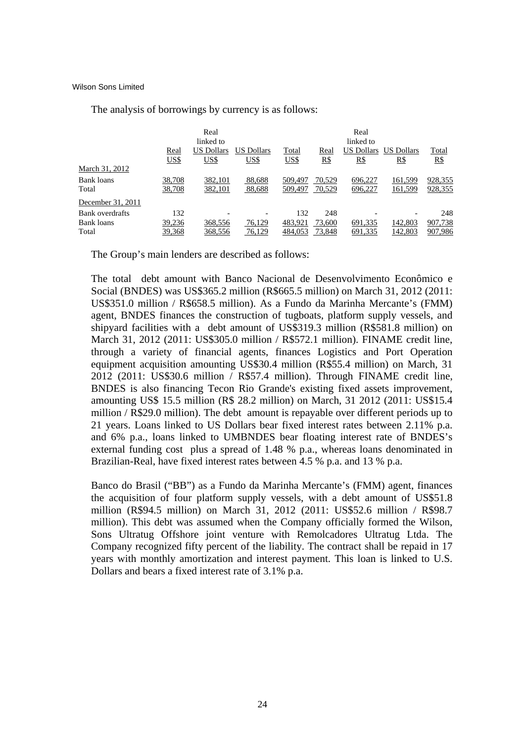|                     |                     | Real<br>linked to         |                    |                      |                    | Real<br>linked to         |                           |                     |
|---------------------|---------------------|---------------------------|--------------------|----------------------|--------------------|---------------------------|---------------------------|---------------------|
|                     | Real<br><u>US\$</u> | <b>US Dollars</b><br>US\$ | US Dollars<br>US\$ | Total<br><u>US\$</u> | Real<br><u>R\$</u> | <b>US Dollars</b><br>$R\$ | <b>US Dollars</b><br>$R\$ | Total<br><u>R\$</u> |
| March 31, 2012      |                     |                           |                    |                      |                    |                           |                           |                     |
| Bank loans<br>Total | 38,708<br>38,708    | 382,101<br>382,101        | 88,688<br>88,688   | 509,497<br>509,497   | 70,529<br>70,529   | 696,227<br>696,227        | 161,599<br>161,599        | 928,355<br>928,355  |
| December 31, 2011   |                     |                           |                    |                      |                    |                           |                           |                     |
| Bank overdrafts     | 132                 |                           |                    | 132                  | 248                |                           |                           | 248                 |
| Bank loans          | 39,236              | 368,556                   | 76,129             | 483.921              | 73,600             | 691,335                   | 142,803                   | 907,738             |
| Total               | 39,368              | 368,556                   | 76,129             | 484,053              | 73,848             | 691,335                   | 142,803                   | 907,986             |

The analysis of borrowings by currency is as follows:

The Group's main lenders are described as follows:

The total debt amount with Banco Nacional de Desenvolvimento Econômico e Social (BNDES) was US\$365.2 million (R\$665.5 million) on March 31, 2012 (2011: US\$351.0 million / R\$658.5 million). As a Fundo da Marinha Mercante's (FMM) agent, BNDES finances the construction of tugboats, platform supply vessels, and shipyard facilities with a debt amount of US\$319.3 million (R\$581.8 million) on March 31, 2012 (2011: US\$305.0 million / R\$572.1 million). FINAME credit line, through a variety of financial agents, finances Logistics and Port Operation equipment acquisition amounting US\$30.4 million (R\$55.4 million) on March, 31 2012 (2011: US\$30.6 million / R\$57.4 million). Through FINAME credit line, BNDES is also financing Tecon Rio Grande's existing fixed assets improvement, amounting US\$ 15.5 million (R\$ 28.2 million) on March, 31 2012 (2011: US\$15.4 million / R\$29.0 million). The debt amount is repayable over different periods up to 21 years. Loans linked to US Dollars bear fixed interest rates between 2.11% p.a. and 6% p.a., loans linked to UMBNDES bear floating interest rate of BNDES's external funding cost plus a spread of 1.48 % p.a., whereas loans denominated in Brazilian-Real, have fixed interest rates between 4.5 % p.a. and 13 % p.a.

Banco do Brasil ("BB") as a Fundo da Marinha Mercante's (FMM) agent, finances the acquisition of four platform supply vessels, with a debt amount of US\$51.8 million (R\$94.5 million) on March 31, 2012 (2011: US\$52.6 million / R\$98.7 million). This debt was assumed when the Company officially formed the Wilson, Sons Ultratug Offshore joint venture with Remolcadores Ultratug Ltda. The Company recognized fifty percent of the liability. The contract shall be repaid in 17 years with monthly amortization and interest payment. This loan is linked to U.S. Dollars and bears a fixed interest rate of 3.1% p.a.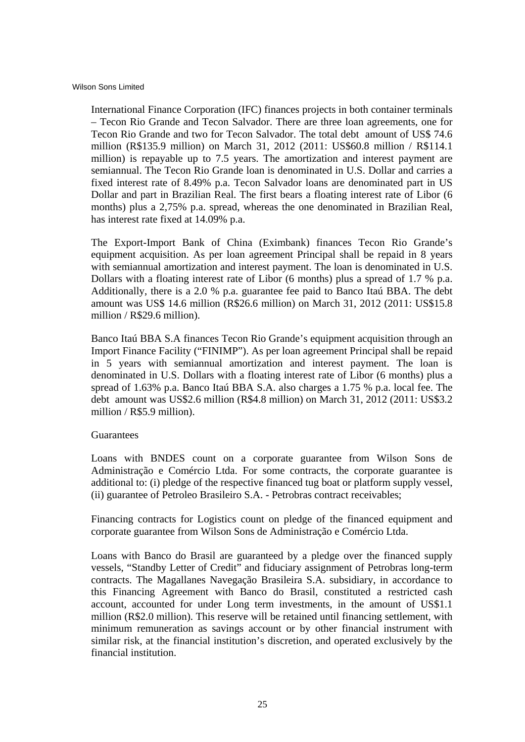International Finance Corporation (IFC) finances projects in both container terminals – Tecon Rio Grande and Tecon Salvador. There are three loan agreements, one for Tecon Rio Grande and two for Tecon Salvador. The total debt amount of US\$ 74.6 million (R\$135.9 million) on March 31, 2012 (2011: US\$60.8 million / R\$114.1 million) is repayable up to 7.5 years. The amortization and interest payment are semiannual. The Tecon Rio Grande loan is denominated in U.S. Dollar and carries a fixed interest rate of 8.49% p.a. Tecon Salvador loans are denominated part in US Dollar and part in Brazilian Real. The first bears a floating interest rate of Libor (6 months) plus a 2,75% p.a. spread, whereas the one denominated in Brazilian Real, has interest rate fixed at 14.09% p.a.

The Export-Import Bank of China (Eximbank) finances Tecon Rio Grande's equipment acquisition. As per loan agreement Principal shall be repaid in 8 years with semiannual amortization and interest payment. The loan is denominated in U.S. Dollars with a floating interest rate of Libor (6 months) plus a spread of 1.7 % p.a. Additionally, there is a 2.0 % p.a. guarantee fee paid to Banco Itaú BBA. The debt amount was US\$ 14.6 million (R\$26.6 million) on March 31, 2012 (2011: US\$15.8 million / R\$29.6 million).

Banco Itaú BBA S.A finances Tecon Rio Grande's equipment acquisition through an Import Finance Facility ("FINIMP"). As per loan agreement Principal shall be repaid in 5 years with semiannual amortization and interest payment. The loan is denominated in U.S. Dollars with a floating interest rate of Libor (6 months) plus a spread of 1.63% p.a. Banco Itaú BBA S.A. also charges a 1.75 % p.a. local fee. The debt amount was US\$2.6 million (R\$4.8 million) on March 31, 2012 (2011: US\$3.2 million / R\$5.9 million).

#### Guarantees

Loans with BNDES count on a corporate guarantee from Wilson Sons de Administração e Comércio Ltda. For some contracts, the corporate guarantee is additional to: (i) pledge of the respective financed tug boat or platform supply vessel, (ii) guarantee of Petroleo Brasileiro S.A. - Petrobras contract receivables;

Financing contracts for Logistics count on pledge of the financed equipment and corporate guarantee from Wilson Sons de Administração e Comércio Ltda.

Loans with Banco do Brasil are guaranteed by a pledge over the financed supply vessels, "Standby Letter of Credit" and fiduciary assignment of Petrobras long-term contracts. The Magallanes Navegação Brasileira S.A. subsidiary, in accordance to this Financing Agreement with Banco do Brasil, constituted a restricted cash account, accounted for under Long term investments, in the amount of US\$1.1 million (R\$2.0 million). This reserve will be retained until financing settlement, with minimum remuneration as savings account or by other financial instrument with similar risk, at the financial institution's discretion, and operated exclusively by the financial institution.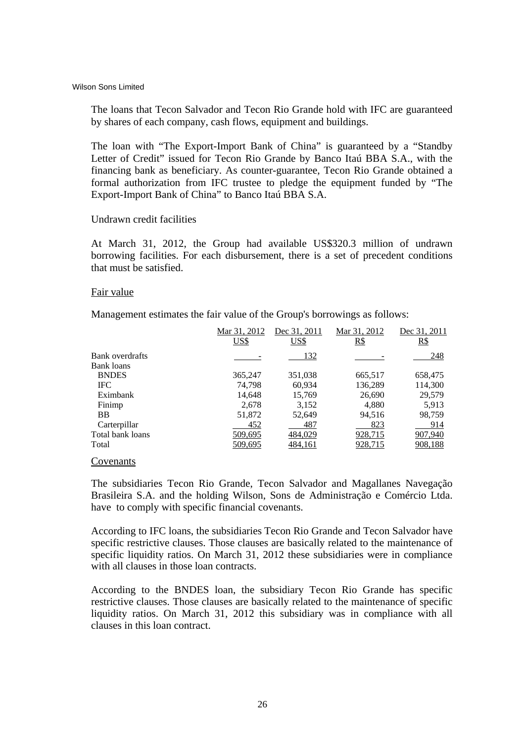The loans that Tecon Salvador and Tecon Rio Grande hold with IFC are guaranteed by shares of each company, cash flows, equipment and buildings.

The loan with "The Export-Import Bank of China" is guaranteed by a "Standby Letter of Credit" issued for Tecon Rio Grande by Banco Itaú BBA S.A., with the financing bank as beneficiary. As counter-guarantee, Tecon Rio Grande obtained a formal authorization from IFC trustee to pledge the equipment funded by "The Export-Import Bank of China" to Banco Itaú BBA S.A.

#### Undrawn credit facilities

At March 31, 2012, the Group had available US\$320.3 million of undrawn borrowing facilities. For each disbursement, there is a set of precedent conditions that must be satisfied.

# Fair value

Management estimates the fair value of the Group's borrowings as follows:

| Mar 31, 2012 | Dec 31, 2011 | Mar 31, 2012 | Dec 31, 2011 |
|--------------|--------------|--------------|--------------|
| US\$         | US\$         | R\$          | R\$          |
|              | 132          |              | 248          |
|              |              |              |              |
| 365,247      | 351,038      | 665,517      | 658,475      |
| 74.798       | 60,934       | 136,289      | 114,300      |
| 14,648       | 15,769       | 26,690       | 29,579       |
| 2,678        | 3,152        | 4,880        | 5,913        |
| 51,872       | 52,649       | 94.516       | 98,759       |
| 452          | 487          | 823          | 914          |
| 509,695      | 484,029      | 928,715      | 907,940      |
| 509,695      | 484,161      | 928,715      | 908,188      |
|              |              |              |              |

# **Covenants**

The subsidiaries Tecon Rio Grande, Tecon Salvador and Magallanes Navegação Brasileira S.A. and the holding Wilson, Sons de Administração e Comércio Ltda. have to comply with specific financial covenants.

According to IFC loans, the subsidiaries Tecon Rio Grande and Tecon Salvador have specific restrictive clauses. Those clauses are basically related to the maintenance of specific liquidity ratios. On March 31, 2012 these subsidiaries were in compliance with all clauses in those loan contracts.

According to the BNDES loan, the subsidiary Tecon Rio Grande has specific restrictive clauses. Those clauses are basically related to the maintenance of specific liquidity ratios. On March 31, 2012 this subsidiary was in compliance with all clauses in this loan contract.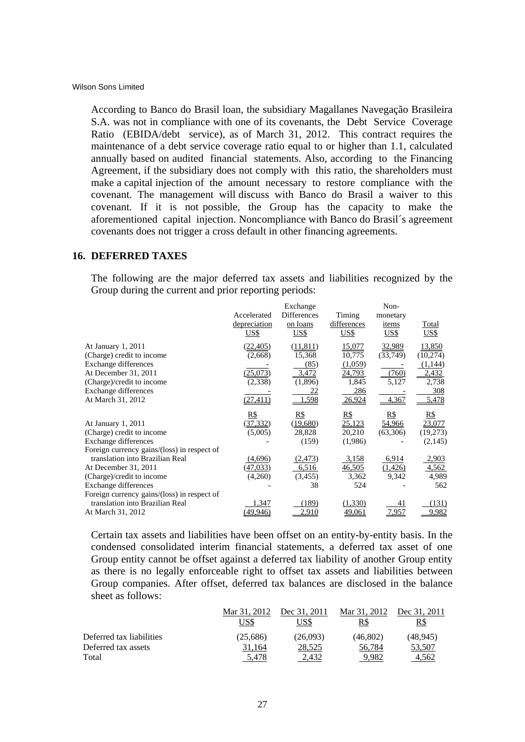According to Banco do Brasil loan, the subsidiary Magallanes Navegação Brasileira S.A. was not in compliance with one of its covenants, the Debt Service Coverage Ratio (EBIDA/debt service), as of March 31, 2012. This contract requires the maintenance of a debt service coverage ratio equal to or higher than 1.1, calculated annually based on audited financial statements. Also, according to the Financing Agreement, if the subsidiary does not comply with this ratio, the shareholders must make a capital injection of the amount necessary to restore compliance with the covenant. The management will discuss with Banco do Brasil a waiver to this covenant. If it is not possible, the Group has the capacity to make the aforementioned capital injection. Noncompliance with Banco do Brasil´s agreement covenants does not trigger a cross default in other financing agreements.

# **16. DEFERRED TAXES**

The following are the major deferred tax assets and liabilities recognized by the Group during the current and prior reporting periods:

|                                                                                                                                                                           | Accelerated<br>depreciation<br>US\$                      | Exchange<br><b>Differences</b><br>on loans<br><u>US\$</u>      | Timing<br>differences<br><u>US\$</u>                                   | Non-<br>monetary<br>items<br>US\$             | <b>Total</b><br>US\$                                             |
|---------------------------------------------------------------------------------------------------------------------------------------------------------------------------|----------------------------------------------------------|----------------------------------------------------------------|------------------------------------------------------------------------|-----------------------------------------------|------------------------------------------------------------------|
| At January 1, 2011<br>(Charge) credit to income<br>Exchange differences<br>At December 31, 2011<br>(Charge)/credit to income<br>Exchange differences<br>At March 31, 2012 | (22, 405)<br>(2,668)<br>(25,073)<br>(2,338)<br>(27, 411) | (11, 811)<br>15,368<br>(85)<br>3,472<br>(1,896)<br>22<br>1,598 | 15,077<br>10,775<br>(1,059)<br>24,793<br>1,845<br>286<br><u>26,924</u> | 32,989<br>(33,749)<br>(760)<br>5,127<br>4,367 | 13,850<br>(10, 274)<br>(1,144)<br>2,432<br>2,738<br>308<br>5,478 |
| At January 1, 2011<br>(Charge) credit to income<br>Exchange differences                                                                                                   | R\$<br>(37, 332)<br>(5,005)                              | <u>R\$</u><br>(19,680)<br>28,828<br>(159)                      | <u>R\$</u><br><u>25,123</u><br>20,210<br>(1,986)                       | <u>R\$</u><br>54,966<br>(63,306)              | <u>R\$</u><br>23,077<br>(19,273)<br>(2,145)                      |
| Foreign currency gains/(loss) in respect of<br>translation into Brazilian Real<br>At December 31, 2011<br>(Charge)/credit to income<br>Exchange differences               | (4,696)<br>(47, 033)<br>(4,260)                          | (2, 473)<br>6,516<br>(3,455)<br>38                             | 3,158<br>46,505<br>3,362<br>524                                        | 6,914<br>(1,426)<br>9,342                     | 2,903<br>4,562<br>4,989<br>562                                   |
| Foreign currency gains/(loss) in respect of<br>translation into Brazilian Real<br>At March 31, 2012                                                                       | 1,347<br>(49,946)                                        | (189)<br>2,910                                                 | (1,330)<br><u>49,061</u>                                               | 41<br>7,957                                   | (131)<br>9,982                                                   |

Certain tax assets and liabilities have been offset on an entity-by-entity basis. In the condensed consolidated interim financial statements, a deferred tax asset of one Group entity cannot be offset against a deferred tax liability of another Group entity as there is no legally enforceable right to offset tax assets and liabilities between Group companies. After offset, deferred tax balances are disclosed in the balance sheet as follows:

|                          | Mar 31, 2012<br>US\$ | Dec 31, 2011<br>'JS\$ | Mar 31, 2012<br>R\$ | Dec 31, 2011<br>R\$ |
|--------------------------|----------------------|-----------------------|---------------------|---------------------|
| Deferred tax liabilities | (25.686)             | (26,093)              | (46.802)            | (48.945)            |
| Deferred tax assets      | 31.164               | 28,525                | 56.784              | 53,507              |
| Total                    | 5.478                | 2.432                 | 9.982               | 4.562               |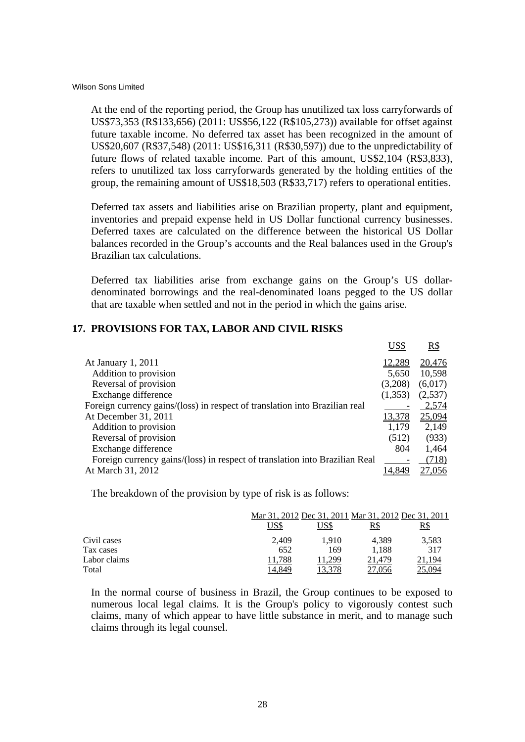At the end of the reporting period, the Group has unutilized tax loss carryforwards of US\$73,353 (R\$133,656) (2011: US\$56,122 (R\$105,273)) available for offset against future taxable income. No deferred tax asset has been recognized in the amount of US\$20,607 (R\$37,548) (2011: US\$16,311 (R\$30,597)) due to the unpredictability of future flows of related taxable income. Part of this amount, US\$2,104 (R\$3,833), refers to unutilized tax loss carryforwards generated by the holding entities of the group, the remaining amount of US\$18,503 (R\$33,717) refers to operational entities.

Deferred tax assets and liabilities arise on Brazilian property, plant and equipment, inventories and prepaid expense held in US Dollar functional currency businesses. Deferred taxes are calculated on the difference between the historical US Dollar balances recorded in the Group's accounts and the Real balances used in the Group's Brazilian tax calculations.

Deferred tax liabilities arise from exchange gains on the Group's US dollardenominated borrowings and the real-denominated loans pegged to the US dollar that are taxable when settled and not in the period in which the gains arise.

#### **17. PROVISIONS FOR TAX, LABOR AND CIVIL RISKS**

|                                                                             | US\$          | R\$     |
|-----------------------------------------------------------------------------|---------------|---------|
| At January 1, 2011                                                          | 12,289        | 20,476  |
| Addition to provision                                                       | 5,650         | 10,598  |
| Reversal of provision                                                       | (3,208)       | (6,017) |
| Exchange difference                                                         | (1,353)       | (2,537) |
| Foreign currency gains/(loss) in respect of translation into Brazilian real |               | 2,574   |
| At December 31, 2011                                                        | <u>13,378</u> | 25,094  |
| Addition to provision                                                       | 1,179         | 2,149   |
| Reversal of provision                                                       | (512)         | (933)   |
| Exchange difference                                                         | 804           | 1,464   |
| Foreign currency gains/(loss) in respect of translation into Brazilian Real |               | (718)   |
| At March 31, 2012                                                           | 14,849        | 27,056  |

The breakdown of the provision by type of risk is as follows:

|              |       | Mar 31, 2012 Dec 31, 2011 Mar 31, 2012 Dec 31, 2011 |            |            |
|--------------|-------|-----------------------------------------------------|------------|------------|
|              | US\$  | US\$                                                | <u>R\$</u> | <u>R\$</u> |
| Civil cases  | 2.409 | 1.910                                               | 4.389      | 3,583      |
| Tax cases    | 652   | 169                                                 | 1.188      | 317        |
| Labor claims | .788  | .299                                                | 21,479     | 1,194      |
| Total        | 4.849 |                                                     |            | 25.094     |

In the normal course of business in Brazil, the Group continues to be exposed to numerous local legal claims. It is the Group's policy to vigorously contest such claims, many of which appear to have little substance in merit, and to manage such claims through its legal counsel.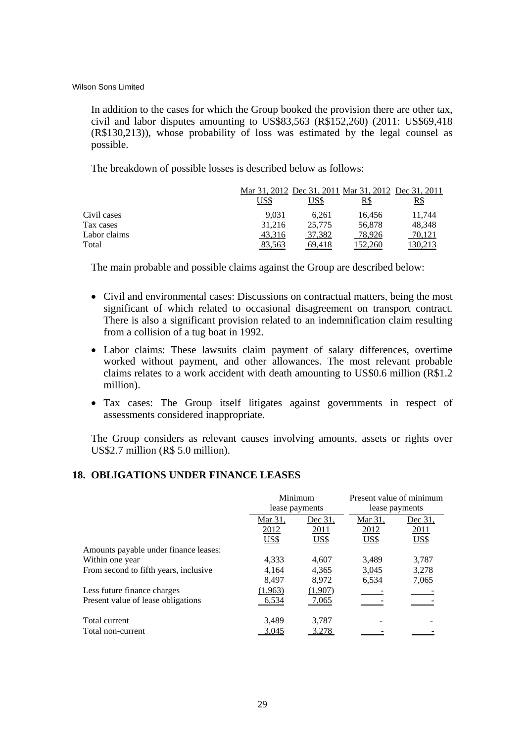In addition to the cases for which the Group booked the provision there are other tax, civil and labor disputes amounting to US\$83,563 (R\$152,260) (2011: US\$69,418 (R\$130,213)), whose probability of loss was estimated by the legal counsel as possible.

The breakdown of possible losses is described below as follows:

|              |             |        | Mar 31, 2012 Dec 31, 2011 Mar 31, 2012 Dec 31, 2011 |            |
|--------------|-------------|--------|-----------------------------------------------------|------------|
|              | <u>US\$</u> | US\$   | R\$                                                 | <u>R\$</u> |
| Civil cases  | 9.031       | 6.261  | 16.456                                              | 11,744     |
| Tax cases    | 31.216      | 25,775 | 56,878                                              | 48.348     |
| Labor claims | 43,316      | 37,382 | 78,926                                              | 70,121     |
| Total        | 83.563      | 69.418 | 52.260                                              |            |

The main probable and possible claims against the Group are described below:

- Civil and environmental cases: Discussions on contractual matters, being the most significant of which related to occasional disagreement on transport contract. There is also a significant provision related to an indemnification claim resulting from a collision of a tug boat in 1992.
- Labor claims: These lawsuits claim payment of salary differences, overtime worked without payment, and other allowances. The most relevant probable claims relates to a work accident with death amounting to US\$0.6 million (R\$1.2 million).
- Tax cases: The Group itself litigates against governments in respect of assessments considered inappropriate.

The Group considers as relevant causes involving amounts, assets or rights over US\$2.7 million (R\$ 5.0 million).

# **18. OBLIGATIONS UNDER FINANCE LEASES**

|                                       |         | Minimum<br>lease payments |             | Present value of minimum<br>lease payments |
|---------------------------------------|---------|---------------------------|-------------|--------------------------------------------|
|                                       | Mar 31, | Dec 31.                   |             | Dec 31,                                    |
|                                       | 2012    | 2011                      | 2012        | 2011                                       |
|                                       | US\$    | <u>US\$</u>               | <u>US\$</u> | <b>US\$</b>                                |
| Amounts payable under finance leases: |         |                           |             |                                            |
| Within one year                       | 4.333   | 4,607                     | 3,489       | 3,787                                      |
| From second to fifth years, inclusive | 4,164   | 4,365                     | 3,045       | 3,278                                      |
|                                       | 8,497   | 8,972                     | 6,534       | <u>7,065</u>                               |
| Less future finance charges           | (1,963) | (1,907)                   |             |                                            |
| Present value of lease obligations    | 6,534   | 7,065                     |             |                                            |
| Total current                         | 3,489   | 3,787                     |             |                                            |
| Total non-current                     | 3.045   |                           |             |                                            |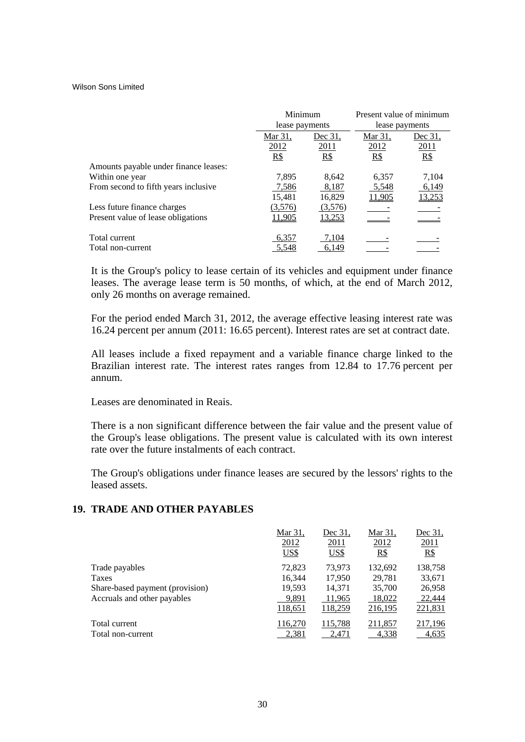|                                       |                | Minimum       |                | Present value of minimum |
|---------------------------------------|----------------|---------------|----------------|--------------------------|
|                                       | lease payments |               | lease payments |                          |
|                                       | Mar 31.        | Dec 31.       |                | Dec 31,                  |
|                                       | 2012           | 2011          | 2012           | 2011                     |
|                                       | $R\$           | R\$           | R\$            | R\$                      |
| Amounts payable under finance leases: |                |               |                |                          |
| Within one year                       | 7,895          | 8,642         | 6,357          | 7,104                    |
| From second to fifth years inclusive  | 7,586          | 8,187         | 5,548          | 6,149                    |
|                                       | 15,481         | 16,829        | 11,905         | <u>13,253</u>            |
| Less future finance charges           | (3,576)        | (3,576)       |                |                          |
| Present value of lease obligations    | 11,905         | <u>13,253</u> |                |                          |
| Total current                         | 6,357          | 7,104         |                |                          |
| Total non-current                     | 5,548          | 6,149         |                |                          |

It is the Group's policy to lease certain of its vehicles and equipment under finance leases. The average lease term is 50 months, of which, at the end of March 2012, only 26 months on average remained.

For the period ended March 31, 2012, the average effective leasing interest rate was 16.24 percent per annum (2011: 16.65 percent). Interest rates are set at contract date.

All leases include a fixed repayment and a variable finance charge linked to the Brazilian interest rate. The interest rates ranges from 12.84 to 17.76 percent per annum.

Leases are denominated in Reais.

There is a non significant difference between the fair value and the present value of the Group's lease obligations. The present value is calculated with its own interest rate over the future instalments of each contract.

The Group's obligations under finance leases are secured by the lessors' rights to the leased assets.

# **19. TRADE AND OTHER PAYABLES**

|                                 | Mar 31.     | Dec 31.          | Mar 31, | Dec 31, |
|---------------------------------|-------------|------------------|---------|---------|
|                                 | 2012        | 2011             | 2012    | 2011    |
|                                 | <b>US\$</b> | $\overline{USS}$ | $R\$    | $R\$    |
| Trade payables                  | 72,823      | 73,973           | 132,692 | 138,758 |
| Taxes                           | 16,344      | 17.950           | 29.781  | 33,671  |
| Share-based payment (provision) | 19,593      | 14,371           | 35,700  | 26,958  |
| Accruals and other payables     | 9,891       | 11,965           | 18,022  | 22,444  |
|                                 | 118,651     | 118,259          | 216,195 | 221,831 |
| Total current                   | 116,270     | 115,788          | 211,857 | 217,196 |
| Total non-current               | 2,381       | 2,471            | 4,338   | 4,635   |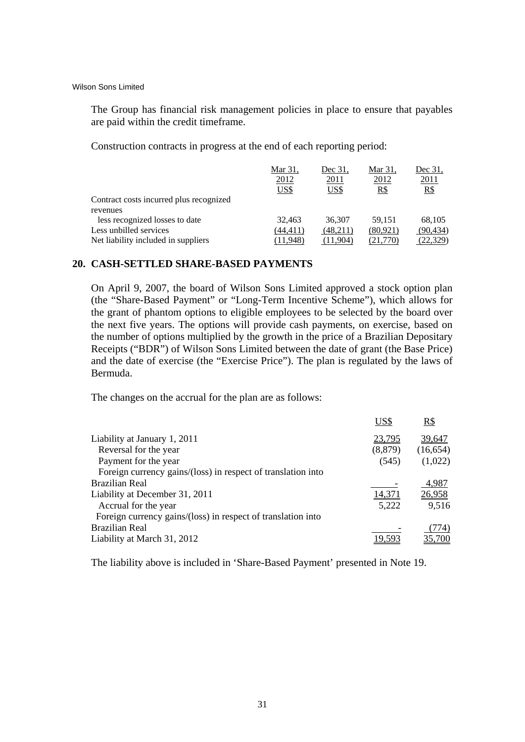The Group has financial risk management policies in place to ensure that payables are paid within the credit timeframe.

Construction contracts in progress at the end of each reporting period:

|                                         | Mar 31,<br>2012<br>US\$ | Dec 31.<br>2011<br>US\$ | Mar 31.<br>2012<br>R\$ | Dec 31.<br>2011<br>R\$ |
|-----------------------------------------|-------------------------|-------------------------|------------------------|------------------------|
| Contract costs incurred plus recognized |                         |                         |                        |                        |
| revenues                                |                         |                         |                        |                        |
| less recognized losses to date          | 32.463                  | 36,307                  | 59.151                 | 68,105                 |
| Less unbilled services                  | (44,411)                | (48,211)                | (80,921)               | (90, 434)              |
| Net liability included in suppliers     | (11.948)                | (11.904)                | (21.770)               | (22.329)               |

# **20. CASH-SETTLED SHARE-BASED PAYMENTS**

On April 9, 2007, the board of Wilson Sons Limited approved a stock option plan (the "Share-Based Payment" or "Long-Term Incentive Scheme"), which allows for the grant of phantom options to eligible employees to be selected by the board over the next five years. The options will provide cash payments, on exercise, based on the number of options multiplied by the growth in the price of a Brazilian Depositary Receipts ("BDR") of Wilson Sons Limited between the date of grant (the Base Price) and the date of exercise (the "Exercise Price"). The plan is regulated by the laws of Bermuda.

The changes on the accrual for the plan are as follows:

|                                                              | US\$     | R\$       |
|--------------------------------------------------------------|----------|-----------|
| Liability at January 1, 2011                                 | 23,795   | 39,647    |
| Reversal for the year                                        | (8, 879) | (16, 654) |
| Payment for the year                                         | (545)    | (1,022)   |
| Foreign currency gains/(loss) in respect of translation into |          |           |
| Brazilian Real                                               |          | 4,987     |
| Liability at December 31, 2011                               | 14,371   | 26,958    |
| Accrual for the year                                         | 5,222    | 9,516     |
| Foreign currency gains/(loss) in respect of translation into |          |           |
| <b>Brazilian Real</b>                                        |          | (774)     |
| Liability at March 31, 2012                                  |          |           |
|                                                              |          |           |

The liability above is included in 'Share-Based Payment' presented in Note 19.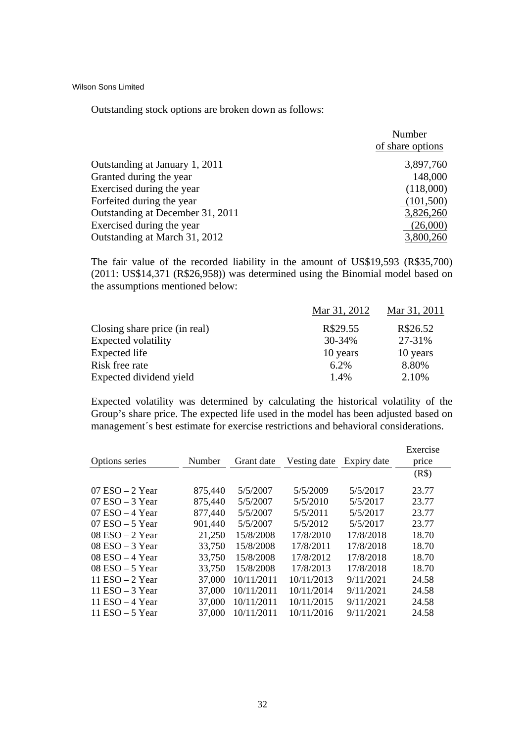Outstanding stock options are broken down as follows:

|                                  | Number<br>of share options |
|----------------------------------|----------------------------|
| Outstanding at January 1, 2011   | 3,897,760                  |
| Granted during the year          | 148,000                    |
| Exercised during the year        | (118,000)                  |
| Forfeited during the year        | (101,500)                  |
| Outstanding at December 31, 2011 | 3,826,260                  |
| Exercised during the year        | (26,000)                   |
| Outstanding at March 31, 2012    | 3,800,260                  |

The fair value of the recorded liability in the amount of US\$19,593 (R\$35,700) (2011: US\$14,371 (R\$26,958)) was determined using the Binomial model based on the assumptions mentioned below:

|                               | Mar 31, 2012 | Mar 31, 2011 |
|-------------------------------|--------------|--------------|
| Closing share price (in real) | R\$29.55     | R\$26.52     |
| Expected volatility           | 30-34%       | 27-31%       |
| Expected life                 | 10 years     | 10 years     |
| Risk free rate                | 6.2%         | 8.80%        |
| Expected dividend yield       | 1.4%         | 2.10%        |

Expected volatility was determined by calculating the historical volatility of the Group's share price. The expected life used in the model has been adjusted based on management´s best estimate for exercise restrictions and behavioral considerations.

|                    |         |            |              |             | Exercise |
|--------------------|---------|------------|--------------|-------------|----------|
| Options series     | Number  | Grant date | Vesting date | Expiry date | price    |
|                    |         |            |              |             | (R\$)    |
| $07$ ESO $-2$ Year | 875,440 | 5/5/2007   | 5/5/2009     | 5/5/2017    | 23.77    |
| $07$ ESO $-3$ Year | 875,440 | 5/5/2007   | 5/5/2010     | 5/5/2017    | 23.77    |
| $07$ ESO $-4$ Year | 877,440 | 5/5/2007   | 5/5/2011     | 5/5/2017    | 23.77    |
| $07$ ESO $-5$ Year | 901,440 | 5/5/2007   | 5/5/2012     | 5/5/2017    | 23.77    |
| $08$ ESO $-2$ Year | 21,250  | 15/8/2008  | 17/8/2010    | 17/8/2018   | 18.70    |
| $08$ ESO $-3$ Year | 33,750  | 15/8/2008  | 17/8/2011    | 17/8/2018   | 18.70    |
| $08$ ESO $-4$ Year | 33,750  | 15/8/2008  | 17/8/2012    | 17/8/2018   | 18.70    |
| $08$ ESO $-5$ Year | 33,750  | 15/8/2008  | 17/8/2013    | 17/8/2018   | 18.70    |
| 11 ESO $-2$ Year   | 37,000  | 10/11/2011 | 10/11/2013   | 9/11/2021   | 24.58    |
| 11 ESO $-$ 3 Year  | 37,000  | 10/11/2011 | 10/11/2014   | 9/11/2021   | 24.58    |
| 11 ESO $-4$ Year   | 37,000  | 10/11/2011 | 10/11/2015   | 9/11/2021   | 24.58    |
| 11 ESO $-5$ Year   | 37,000  | 10/11/2011 | 10/11/2016   | 9/11/2021   | 24.58    |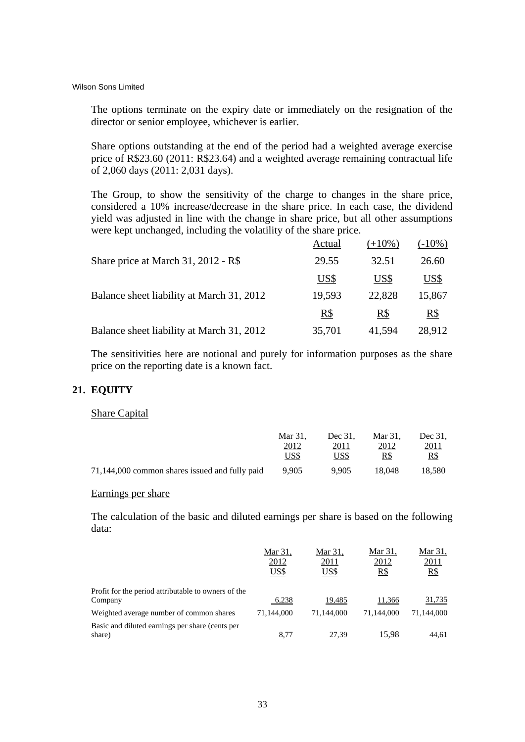The options terminate on the expiry date or immediately on the resignation of the director or senior employee, whichever is earlier.

Share options outstanding at the end of the period had a weighted average exercise price of R\$23.60 (2011: R\$23.64) and a weighted average remaining contractual life of 2,060 days (2011: 2,031 days).

The Group, to show the sensitivity of the charge to changes in the share price, considered a 10% increase/decrease in the share price. In each case, the dividend yield was adjusted in line with the change in share price, but all other assumptions were kept unchanged, including the volatility of the share price.

|                                           | Actual | $(+10\%)$ | $(-10\%)$ |
|-------------------------------------------|--------|-----------|-----------|
| Share price at March 31, 2012 - R\$       | 29.55  | 32.51     | 26.60     |
|                                           | US\$   | US\$      | US\$      |
| Balance sheet liability at March 31, 2012 | 19,593 | 22,828    | 15,867    |
|                                           | $R\$   | R\$       | $R\$      |
| Balance sheet liability at March 31, 2012 | 35,701 | 41,594    | 28,912    |

The sensitivities here are notional and purely for information purposes as the share price on the reporting date is a known fact.

# **21. EQUITY**

#### Share Capital

|                                                | Mar 31.<br>2012 | Dec 31.<br>2011 | Mar 31.<br>2012 | Dec 31.<br>2011 |
|------------------------------------------------|-----------------|-----------------|-----------------|-----------------|
|                                                | US\$            | US\$            | R\$             | R\$             |
| 71,144,000 common shares issued and fully paid | 9.905           | 9.905           | 18.048          | 18.580          |

#### Earnings per share

The calculation of the basic and diluted earnings per share is based on the following data:

|                                                                | Mar 31.<br>2012<br>US\$ | Mar 31.<br><u>2011</u><br>US\$ | Mar 31,<br>2012<br>R\$ | Mar 31,<br>2011<br>$R\$ |
|----------------------------------------------------------------|-------------------------|--------------------------------|------------------------|-------------------------|
| Profit for the period attributable to owners of the<br>Company | 6,238                   | <u>19,485</u>                  | 11,366                 | 31,735                  |
| Weighted average number of common shares                       | 71.144.000              | 71.144.000                     | 71.144.000             | 71,144,000              |
| Basic and diluted earnings per share (cents per<br>share)      | 8.77                    | 27.39                          | 15.98                  | 44.61                   |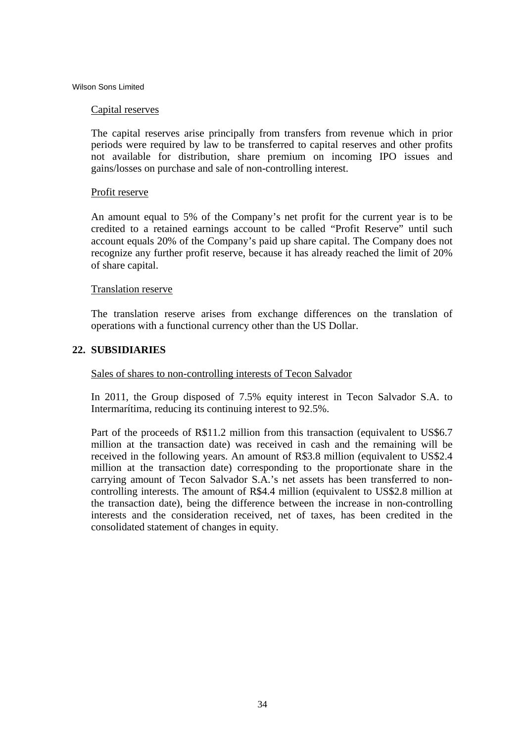#### Capital reserves

The capital reserves arise principally from transfers from revenue which in prior periods were required by law to be transferred to capital reserves and other profits not available for distribution, share premium on incoming IPO issues and gains/losses on purchase and sale of non-controlling interest.

# Profit reserve

An amount equal to 5% of the Company's net profit for the current year is to be credited to a retained earnings account to be called "Profit Reserve" until such account equals 20% of the Company's paid up share capital. The Company does not recognize any further profit reserve, because it has already reached the limit of 20% of share capital.

# Translation reserve

The translation reserve arises from exchange differences on the translation of operations with a functional currency other than the US Dollar.

# **22. SUBSIDIARIES**

# Sales of shares to non-controlling interests of Tecon Salvador

In 2011, the Group disposed of 7.5% equity interest in Tecon Salvador S.A. to Intermarítima, reducing its continuing interest to 92.5%.

Part of the proceeds of R\$11.2 million from this transaction (equivalent to US\$6.7 million at the transaction date) was received in cash and the remaining will be received in the following years. An amount of R\$3.8 million (equivalent to US\$2.4 million at the transaction date) corresponding to the proportionate share in the carrying amount of Tecon Salvador S.A.'s net assets has been transferred to noncontrolling interests. The amount of R\$4.4 million (equivalent to US\$2.8 million at the transaction date), being the difference between the increase in non-controlling interests and the consideration received, net of taxes, has been credited in the consolidated statement of changes in equity.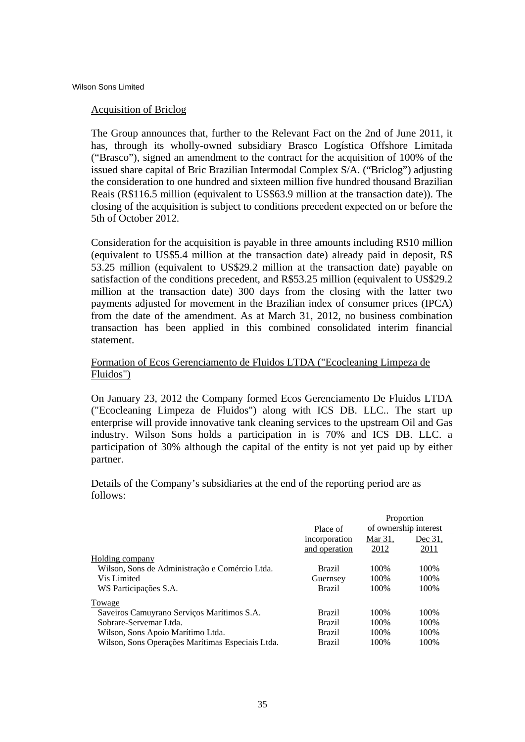# Acquisition of Briclog

The Group announces that, further to the Relevant Fact on the 2nd of June 2011, it has, through its wholly-owned subsidiary Brasco Logística Offshore Limitada ("Brasco"), signed an amendment to the contract for the acquisition of 100% of the issued share capital of Bric Brazilian Intermodal Complex S/A. ("Briclog") adjusting the consideration to one hundred and sixteen million five hundred thousand Brazilian Reais (R\$116.5 million (equivalent to US\$63.9 million at the transaction date)). The closing of the acquisition is subject to conditions precedent expected on or before the 5th of October 2012.

Consideration for the acquisition is payable in three amounts including R\$10 million (equivalent to US\$5.4 million at the transaction date) already paid in deposit, R\$ 53.25 million (equivalent to US\$29.2 million at the transaction date) payable on satisfaction of the conditions precedent, and R\$53.25 million (equivalent to US\$29.2 million at the transaction date) 300 days from the closing with the latter two payments adjusted for movement in the Brazilian index of consumer prices (IPCA) from the date of the amendment. As at March 31, 2012, no business combination transaction has been applied in this combined consolidated interim financial statement.

# Formation of Ecos Gerenciamento de Fluidos LTDA ("Ecocleaning Limpeza de Fluidos")

On January 23, 2012 the Company formed Ecos Gerenciamento De Fluidos LTDA ("Ecocleaning Limpeza de Fluidos") along with ICS DB. LLC.. The start up enterprise will provide innovative tank cleaning services to the upstream Oil and Gas industry. Wilson Sons holds a participation in is 70% and ICS DB. LLC. a participation of 30% although the capital of the entity is not yet paid up by either partner.

Details of the Company's subsidiaries at the end of the reporting period are as follows:

|                                                  |               |                       | Proportion |
|--------------------------------------------------|---------------|-----------------------|------------|
|                                                  | Place of      | of ownership interest |            |
|                                                  | incorporation | Mar 31,               | Dec 31.    |
|                                                  | and operation | 2012                  | 2011       |
| Holding company                                  |               |                       |            |
| Wilson, Sons de Administração e Comércio Ltda.   | Brazil        | 100\%                 | 100\%      |
| Vis Limited                                      | Guernsey      | 100\%                 | 100\%      |
| WS Participações S.A.                            | <b>Brazil</b> | 100\%                 | 100%       |
| Towage                                           |               |                       |            |
| Saveiros Camuyrano Serviços Marítimos S.A.       | <b>Brazil</b> | 100\%                 | 100\%      |
| Sobrare-Servemar Ltda.                           | <b>Brazil</b> | 100\%                 | 100\%      |
| Wilson, Sons Apoio Marítimo Ltda.                | <b>Brazil</b> | 100%                  | 100\%      |
| Wilson, Sons Operações Marítimas Especiais Ltda. | <b>Brazil</b> | 100\%                 | 100\%      |
|                                                  |               |                       |            |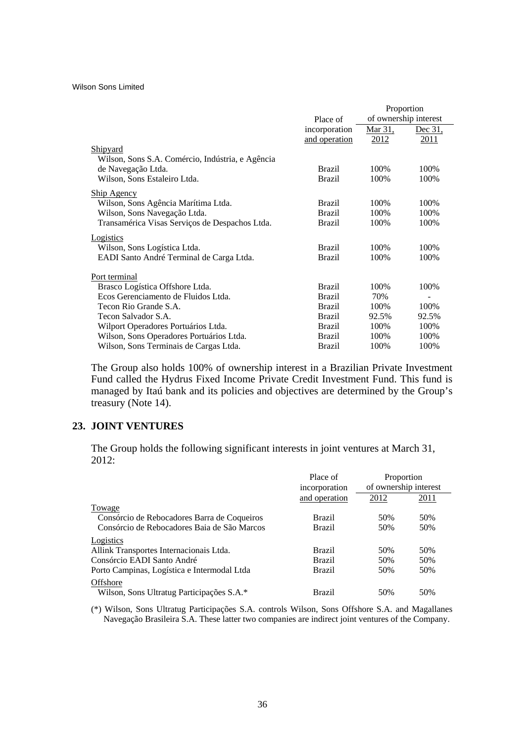|                                                  |               |                | Proportion            |
|--------------------------------------------------|---------------|----------------|-----------------------|
|                                                  | Place of      |                | of ownership interest |
|                                                  | incorporation | <u>Mar 31,</u> | <u>Dec 31,</u>        |
|                                                  | and operation | 2012           | <u>2011</u>           |
| Shipyard                                         |               |                |                       |
| Wilson, Sons S.A. Comércio, Indústria, e Agência |               |                |                       |
| de Navegação Ltda.                               | <b>Brazil</b> | 100%           | 100%                  |
| Wilson, Sons Estaleiro Ltda.                     | <b>Brazil</b> | 100%           | 100%                  |
| Ship Agency                                      |               |                |                       |
| Wilson, Sons Agência Marítima Ltda.              | <b>Brazil</b> | 100%           | 100%                  |
| Wilson, Sons Navegação Ltda.                     | <b>Brazil</b> | 100%           | 100%                  |
| Transamérica Visas Serviços de Despachos Ltda.   | <b>Brazil</b> | 100%           | 100%                  |
| Logistics                                        |               |                |                       |
| Wilson, Sons Logística Ltda.                     | <b>Brazil</b> | 100%           | 100%                  |
| EADI Santo André Terminal de Carga Ltda.         | <b>Brazil</b> | 100%           | 100%                  |
| Port terminal                                    |               |                |                       |
| Brasco Logística Offshore Ltda.                  | <b>Brazil</b> | 100%           | 100%                  |
| Ecos Gerenciamento de Fluidos Ltda.              | <b>Brazil</b> | 70%            |                       |
| Tecon Rio Grande S.A.                            | <b>Brazil</b> | 100%           | 100%                  |
| Tecon Salvador S.A.                              | <b>Brazil</b> | 92.5%          | 92.5%                 |
| Wilport Operadores Portuários Ltda.              | <b>Brazil</b> | 100%           | 100%                  |
| Wilson, Sons Operadores Portuários Ltda.         | <b>Brazil</b> | 100%           | 100%                  |
| Wilson, Sons Terminais de Cargas Ltda.           | <b>Brazil</b> | 100%           | 100%                  |

The Group also holds 100% of ownership interest in a Brazilian Private Investment Fund called the Hydrus Fixed Income Private Credit Investment Fund. This fund is managed by Itaú bank and its policies and objectives are determined by the Group's treasury (Note 14).

# **23. JOINT VENTURES**

The Group holds the following significant interests in joint ventures at March 31, 2012:

|                                             | Place of<br>incorporation | Proportion<br>of ownership interest |      |
|---------------------------------------------|---------------------------|-------------------------------------|------|
|                                             | and operation             | 2012                                | 2011 |
| Towage                                      |                           |                                     |      |
| Consórcio de Rebocadores Barra de Coqueiros | <b>Brazil</b>             | 50%                                 | 50%  |
| Consórcio de Rebocadores Baia de São Marcos | <b>Brazil</b>             | 50%                                 | 50%  |
| Logistics                                   |                           |                                     |      |
| Allink Transportes Internacionais Ltda.     | <b>Brazil</b>             | 50%                                 | 50%  |
| Consórcio EADI Santo André                  | <b>Brazil</b>             | 50%                                 | 50%  |
| Porto Campinas, Logística e Intermodal Ltda | Brazil                    | 50%                                 | 50%  |
| Offshore                                    |                           |                                     |      |
| Wilson, Sons Ultratug Participações S.A.*   | <b>Brazil</b>             | 50%                                 | 50%  |

(\*) Wilson, Sons Ultratug Participações S.A. controls Wilson, Sons Offshore S.A. and Magallanes Navegação Brasileira S.A. These latter two companies are indirect joint ventures of the Company.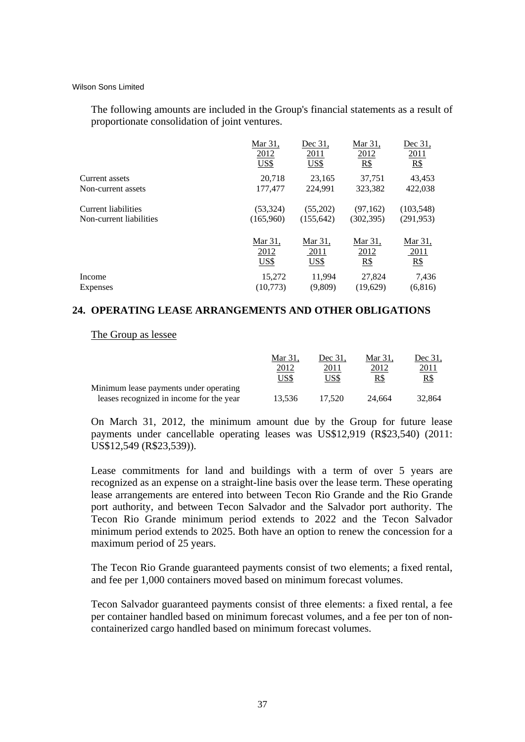The following amounts are included in the Group's financial statements as a result of proportionate consolidation of joint ventures.

|                         | Mar 31.<br>2012<br>US\$ | Dec 31.<br>2011<br><b>US\$</b> | Mar 31.<br>2012<br>R\$ | Dec 31.<br>2011<br>$R\$ |
|-------------------------|-------------------------|--------------------------------|------------------------|-------------------------|
| Current assets          | 20,718                  | 23,165                         | 37,751                 | 43,453                  |
| Non-current assets      | 177,477                 | 224,991                        | 323,382                | 422,038                 |
| Current liabilities     | (53, 324)               | (55,202)                       | (97,162)               | (103, 548)              |
| Non-current liabilities | (165,960)               | (155, 642)                     | (302, 395)             | (291, 953)              |
|                         | Mar 31,                 | Mar 31,                        | <u>Mar 31,</u>         | <u>Mar 31,</u>          |
|                         | 2012                    | 2011                           | 2012                   | 2011                    |
|                         | US\$                    | US\$                           | R\$                    | $R\$                    |
| Income                  | 15,272                  | 11,994                         | 27,824                 | 7,436                   |
| Expenses                | (10,773)                | (9,809)                        | (19,629)               | (6,816)                 |

#### **24. OPERATING LEASE ARRANGEMENTS AND OTHER OBLIGATIONS**

The Group as lessee

|                                          | Mar 31 | Dec 31. | Mar 31. | Dec 31.      |
|------------------------------------------|--------|---------|---------|--------------|
|                                          | 2012   | 2011    | 2012    | <u> 2011</u> |
|                                          | US\$   | US\$    | R\$     | R\$          |
| Minimum lease payments under operating   |        |         |         |              |
| leases recognized in income for the year | 13.536 | 17.520  | 24.664  | 32,864       |

On March 31, 2012, the minimum amount due by the Group for future lease payments under cancellable operating leases was US\$12,919 (R\$23,540) (2011: US\$12,549 (R\$23,539)).

Lease commitments for land and buildings with a term of over 5 years are recognized as an expense on a straight-line basis over the lease term. These operating lease arrangements are entered into between Tecon Rio Grande and the Rio Grande port authority, and between Tecon Salvador and the Salvador port authority. The Tecon Rio Grande minimum period extends to 2022 and the Tecon Salvador minimum period extends to 2025. Both have an option to renew the concession for a maximum period of 25 years.

The Tecon Rio Grande guaranteed payments consist of two elements; a fixed rental, and fee per 1,000 containers moved based on minimum forecast volumes.

Tecon Salvador guaranteed payments consist of three elements: a fixed rental, a fee per container handled based on minimum forecast volumes, and a fee per ton of noncontainerized cargo handled based on minimum forecast volumes.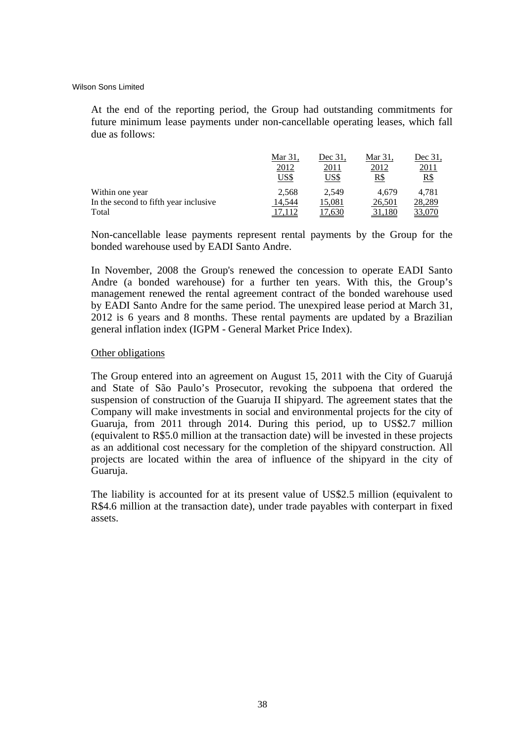At the end of the reporting period, the Group had outstanding commitments for future minimum lease payments under non-cancellable operating leases, which fall due as follows:

|                                       | Mar 31.<br>2012<br>US\$ | Dec 31.<br>2011<br>US\$ | Mar 31.<br>2012<br>R\$ | Dec 31.<br><u> 2011</u><br><u>R\$</u> |
|---------------------------------------|-------------------------|-------------------------|------------------------|---------------------------------------|
| Within one year                       | 2.568                   | 2.549                   | 4.679                  | 4.781                                 |
| In the second to fifth year inclusive | 14.544                  | 15,081                  | 26,501                 | 28,289                                |
| Total                                 |                         | .630                    |                        |                                       |

Non-cancellable lease payments represent rental payments by the Group for the bonded warehouse used by EADI Santo Andre.

In November, 2008 the Group's renewed the concession to operate EADI Santo Andre (a bonded warehouse) for a further ten years. With this, the Group's management renewed the rental agreement contract of the bonded warehouse used by EADI Santo Andre for the same period. The unexpired lease period at March 31, 2012 is 6 years and 8 months. These rental payments are updated by a Brazilian general inflation index (IGPM - General Market Price Index).

# Other obligations

The Group entered into an agreement on August 15, 2011 with the City of Guarujá and State of São Paulo's Prosecutor, revoking the subpoena that ordered the suspension of construction of the Guaruja II shipyard. The agreement states that the Company will make investments in social and environmental projects for the city of Guaruja, from 2011 through 2014. During this period, up to US\$2.7 million (equivalent to R\$5.0 million at the transaction date) will be invested in these projects as an additional cost necessary for the completion of the shipyard construction. All projects are located within the area of influence of the shipyard in the city of Guaruja.

The liability is accounted for at its present value of US\$2.5 million (equivalent to R\$4.6 million at the transaction date), under trade payables with conterpart in fixed assets.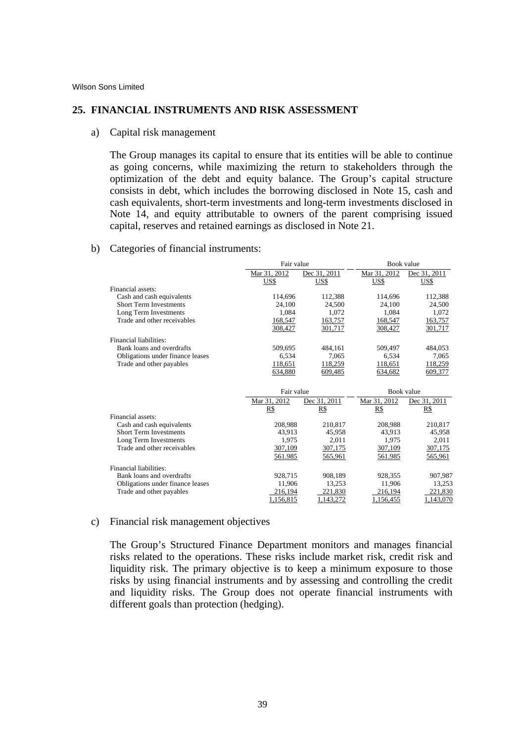#### **25. FINANCIAL INSTRUMENTS AND RISK ASSESSMENT**

a) Capital risk management

The Group manages its capital to ensure that its entities will be able to continue as going concerns, while maximizing the return to stakeholders through the optimization of the debt and equity balance. The Group's capital structure consists in debt, which includes the borrowing disclosed in Note 15, cash and cash equivalents, short-term investments and long-term investments disclosed in Note 14, and equity attributable to owners of the parent comprising issued capital, reserves and retained earnings as disclosed in Note 21.

#### b) Categories of financial instruments:

|                                  | Fair value   |              | Book value   |              |  |
|----------------------------------|--------------|--------------|--------------|--------------|--|
|                                  | Mar 31, 2012 | Dec 31, 2011 | Mar 31, 2012 | Dec 31, 2011 |  |
|                                  | US\$         | US\$         | US\$         | US\$         |  |
| Financial assets:                |              |              |              |              |  |
| Cash and cash equivalents        | 114,696      | 112,388      | 114,696      | 112,388      |  |
| <b>Short Term Investments</b>    | 24,100       | 24,500       | 24,100       | 24,500       |  |
| Long Term Investments            | 1.084        | 1.072        | 1.084        | 1,072        |  |
| Trade and other receivables      | 168,547      | 163,757      | 168,547      | 163,757      |  |
|                                  | 308,427      | 301,717      | 308,427      | 301,717      |  |
| Financial liabilities:           |              |              |              |              |  |
| Bank loans and overdrafts        | 509,695      | 484,161      | 509,497      | 484,053      |  |
| Obligations under finance leases | 6,534        | 7,065        | 6,534        | 7,065        |  |
| Trade and other payables         | 118,651      | 118,259      | 118,651      | 118,259      |  |
|                                  | 634,880      | 609,485      | 634,682      | 609,377      |  |
|                                  |              |              |              |              |  |
|                                  | Fair value   |              |              | Book value   |  |
|                                  | Mar 31, 2012 | Dec 31, 2011 | Mar 31, 2012 | Dec 31, 2011 |  |
|                                  | R\$          | R\$          | R\$          | R\$          |  |
| Financial assets:                |              |              |              |              |  |
| Cash and cash equivalents        | 208,988      | 210,817      | 208,988      | 210,817      |  |
| <b>Short Term Investments</b>    | 43.913       | 45,958       | 43.913       | 45,958       |  |
| Long Term Investments            | 1,975        | 2,011        | 1.975        | 2,011        |  |
| Trade and other receivables      | 307,109      | 307,175      | 307,109      | 307,175      |  |
|                                  | 561.985      | 565,961      | 561.985      | 565,961      |  |
| Financial liabilities:           |              |              |              |              |  |
| Bank loans and overdrafts        | 928,715      | 908,189      | 928,355      | 907,987      |  |
| Obligations under finance leases | 11,906       | 13,253       | 11,906       | 13,253       |  |
| Trade and other payables         | 216,194      | 221,830      | 216,194      | 221,830      |  |
|                                  | 1,156,815    | 1,143,272    | 1,156,455    | 1,143,070    |  |

#### c) Financial risk management objectives

The Group's Structured Finance Department monitors and manages financial risks related to the operations. These risks include market risk, credit risk and liquidity risk. The primary objective is to keep a minimum exposure to those risks by using financial instruments and by assessing and controlling the credit and liquidity risks. The Group does not operate financial instruments with different goals than protection (hedging).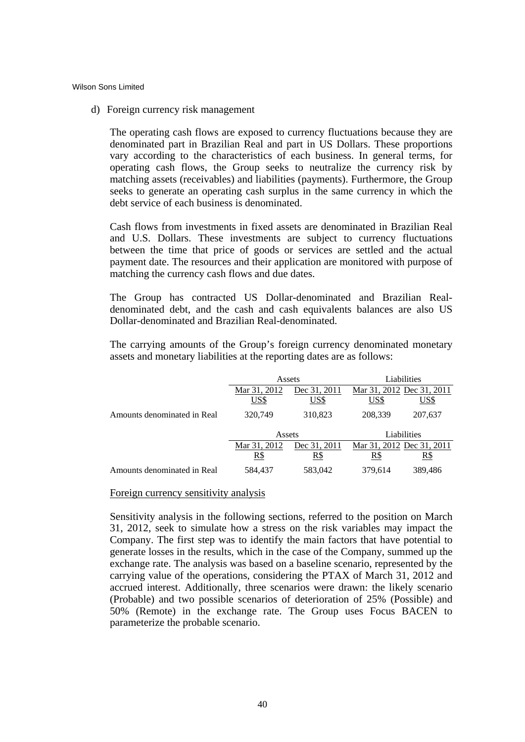d) Foreign currency risk management

The operating cash flows are exposed to currency fluctuations because they are denominated part in Brazilian Real and part in US Dollars. These proportions vary according to the characteristics of each business. In general terms, for operating cash flows, the Group seeks to neutralize the currency risk by matching assets (receivables) and liabilities (payments). Furthermore, the Group seeks to generate an operating cash surplus in the same currency in which the debt service of each business is denominated.

Cash flows from investments in fixed assets are denominated in Brazilian Real and U.S. Dollars. These investments are subject to currency fluctuations between the time that price of goods or services are settled and the actual payment date. The resources and their application are monitored with purpose of matching the currency cash flows and due dates.

The Group has contracted US Dollar-denominated and Brazilian Realdenominated debt, and the cash and cash equivalents balances are also US Dollar-denominated and Brazilian Real-denominated.

The carrying amounts of the Group's foreign currency denominated monetary assets and monetary liabilities at the reporting dates are as follows:

|                             |              | Assets       | Liabilities               |                           |  |
|-----------------------------|--------------|--------------|---------------------------|---------------------------|--|
|                             | Mar 31, 2012 | Dec 31, 2011 |                           | Mar 31, 2012 Dec 31, 2011 |  |
|                             | US\$         | US\$         | US\$                      | US\$                      |  |
| Amounts denominated in Real | 320,749      | 310,823      | 208,339                   | 207,637                   |  |
|                             | Assets       |              |                           | Liabilities               |  |
|                             | Mar 31, 2012 | Dec 31, 2011 | Mar 31, 2012 Dec 31, 2011 |                           |  |
|                             | <u>R\$</u>   | R\$          | R\$                       | R\$                       |  |
| Amounts denominated in Real | 584,437      | 583,042      | 379,614                   | 389,486                   |  |

#### Foreign currency sensitivity analysis

Sensitivity analysis in the following sections, referred to the position on March 31, 2012, seek to simulate how a stress on the risk variables may impact the Company. The first step was to identify the main factors that have potential to generate losses in the results, which in the case of the Company, summed up the exchange rate. The analysis was based on a baseline scenario, represented by the carrying value of the operations, considering the PTAX of March 31, 2012 and accrued interest. Additionally, three scenarios were drawn: the likely scenario (Probable) and two possible scenarios of deterioration of 25% (Possible) and 50% (Remote) in the exchange rate. The Group uses Focus BACEN to parameterize the probable scenario.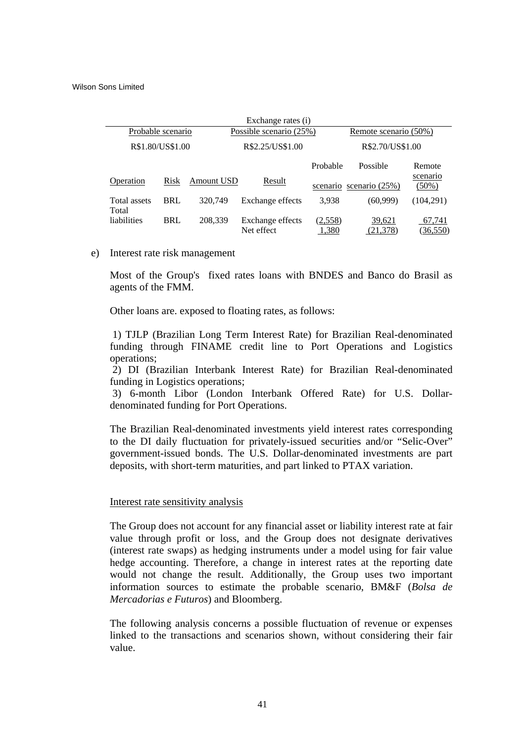| Exchange rates (i)                   |            |                  |                                |                  |                       |                      |  |
|--------------------------------------|------------|------------------|--------------------------------|------------------|-----------------------|----------------------|--|
| Probable scenario                    |            |                  | Possible scenario (25%)        |                  | Remote scenario (50%) |                      |  |
| R\$1.80/US\$1.00<br>R\$2.25/US\$1.00 |            | R\$2.70/US\$1.00 |                                |                  |                       |                      |  |
|                                      |            |                  |                                | Probable         | Possible              | Remote               |  |
| Operation                            | Risk       | Amount USD       | Result                         | scenario         | scenario $(25%)$      | scenario<br>$(50\%)$ |  |
| Total assets<br>Total                | <b>BRL</b> | 320,749          | Exchange effects               | 3,938            | (60,999)              | (104,291)            |  |
| liabilities                          | <b>BRL</b> | 208,339          | Exchange effects<br>Net effect | (2,558)<br>1,380 | 39,621<br>(21, 378)   | 67,741<br>(36, 550)  |  |

e) Interest rate risk management

Most of the Group's fixed rates loans with BNDES and Banco do Brasil as agents of the FMM.

Other loans are. exposed to floating rates, as follows:

 1) TJLP (Brazilian Long Term Interest Rate) for Brazilian Real-denominated funding through FINAME credit line to Port Operations and Logistics operations;

 2) DI (Brazilian Interbank Interest Rate) for Brazilian Real-denominated funding in Logistics operations;

 3) 6-month Libor (London Interbank Offered Rate) for U.S. Dollardenominated funding for Port Operations.

The Brazilian Real-denominated investments yield interest rates corresponding to the DI daily fluctuation for privately-issued securities and/or "Selic-Over" government-issued bonds. The U.S. Dollar-denominated investments are part deposits, with short-term maturities, and part linked to PTAX variation.

#### Interest rate sensitivity analysis

The Group does not account for any financial asset or liability interest rate at fair value through profit or loss, and the Group does not designate derivatives (interest rate swaps) as hedging instruments under a model using for fair value hedge accounting. Therefore, a change in interest rates at the reporting date would not change the result. Additionally, the Group uses two important information sources to estimate the probable scenario, BM&F (*Bolsa de Mercadorias e Futuros*) and Bloomberg.

The following analysis concerns a possible fluctuation of revenue or expenses linked to the transactions and scenarios shown, without considering their fair value.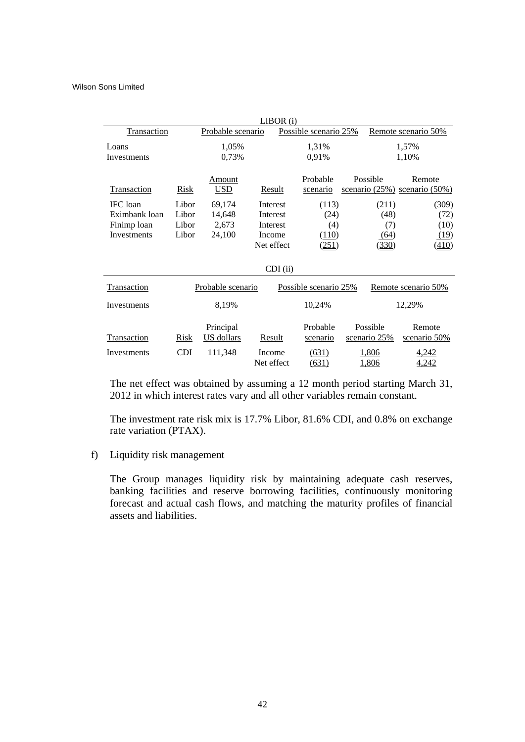|                    |            |                         | LIBOR(i)             |  |                       |  |                          |                                               |
|--------------------|------------|-------------------------|----------------------|--|-----------------------|--|--------------------------|-----------------------------------------------|
| <b>Transaction</b> |            | Probable scenario       |                      |  | Possible scenario 25% |  | Remote scenario 50%      |                                               |
| Loans              |            | 1,05%                   |                      |  | 1,31%                 |  |                          | 1,57%                                         |
| Investments        |            | 0,73%                   |                      |  | 0,91%                 |  |                          | 1,10%                                         |
| Transaction        | Risk       | Amount<br><b>USD</b>    | Result               |  | Probable<br>scenario  |  | Possible                 | Remote<br>scenario $(25\%)$ scenario $(50\%)$ |
| IFC loan           | Libor      | 69,174                  | Interest             |  | (113)                 |  | (211)                    | (309)                                         |
| Eximbank loan      | Libor      | 14,648                  | Interest             |  | (24)                  |  | (48)                     | (72)                                          |
| Finimp loan        | Libor      | 2,673                   | Interest             |  | (4)                   |  | (7)                      | (10)                                          |
| Investments        | Libor      | 24,100                  | Income               |  | (110)                 |  | (64)                     | (19)                                          |
|                    |            |                         | Net effect           |  | (251)                 |  | (330)                    | (410)                                         |
| $CDI$ (ii)         |            |                         |                      |  |                       |  |                          |                                               |
| Transaction        |            | Probable scenario       |                      |  | Possible scenario 25% |  |                          | Remote scenario 50%                           |
| Investments        |            | 8,19%                   |                      |  | 10,24%                |  |                          | 12,29%                                        |
| Transaction        | Risk       | Principal<br>US dollars | Result               |  | Probable<br>scenario  |  | Possible<br>scenario 25% | Remote<br>scenario 50%                        |
|                    |            |                         |                      |  |                       |  |                          |                                               |
| Investments        | <b>CDI</b> | 111,348                 | Income<br>Net effect |  | (631)                 |  | 1,806                    | <u>4,242</u>                                  |
|                    |            |                         |                      |  | (631)                 |  | 1,806                    | 4,242                                         |

The net effect was obtained by assuming a 12 month period starting March 31, 2012 in which interest rates vary and all other variables remain constant.

The investment rate risk mix is 17.7% Libor, 81.6% CDI, and 0.8% on exchange rate variation (PTAX).

f) Liquidity risk management

The Group manages liquidity risk by maintaining adequate cash reserves, banking facilities and reserve borrowing facilities, continuously monitoring forecast and actual cash flows, and matching the maturity profiles of financial assets and liabilities.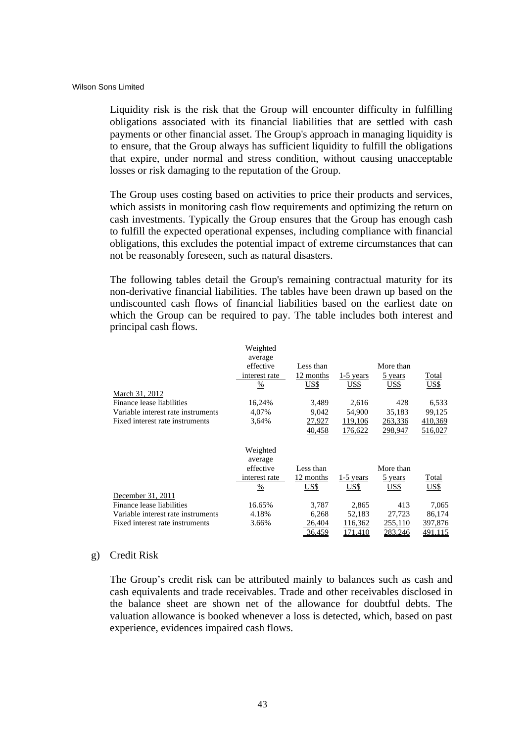Liquidity risk is the risk that the Group will encounter difficulty in fulfilling obligations associated with its financial liabilities that are settled with cash payments or other financial asset. The Group's approach in managing liquidity is to ensure, that the Group always has sufficient liquidity to fulfill the obligations that expire, under normal and stress condition, without causing unacceptable losses or risk damaging to the reputation of the Group.

The Group uses costing based on activities to price their products and services, which assists in monitoring cash flow requirements and optimizing the return on cash investments. Typically the Group ensures that the Group has enough cash to fulfill the expected operational expenses, including compliance with financial obligations, this excludes the potential impact of extreme circumstances that can not be reasonably foreseen, such as natural disasters.

The following tables detail the Group's remaining contractual maturity for its non-derivative financial liabilities. The tables have been drawn up based on the undiscounted cash flows of financial liabilities based on the earliest date on which the Group can be required to pay. The table includes both interest and principal cash flows.

|                                    | Weighted      |           |                |           |         |
|------------------------------------|---------------|-----------|----------------|-----------|---------|
|                                    | average       |           |                |           |         |
|                                    | effective     | Less than |                | More than |         |
|                                    | interest rate | 12 months | $1-5$ years    | 5 years   | Total   |
|                                    | $\frac{0}{0}$ | US\$      | US\$           | US\$      | US\$    |
| March 31, 2012                     |               |           |                |           |         |
| Finance lease liabilities          | 16,24%        | 3,489     | 2,616          | 428       | 6,533   |
| Variable interest rate instruments | 4,07%         | 9,042     | 54,900         | 35,183    | 99,125  |
| Fixed interest rate instruments    | 3,64%         | 27,927    | 119,106        | 263,336   | 410,369 |
|                                    |               | 40,458    | <u>176,622</u> | 298,947   | 516,027 |
|                                    | Weighted      |           |                |           |         |
|                                    | average       |           |                |           |         |
|                                    | effective     | Less than |                | More than |         |
|                                    | interest rate | 12 months | $1-5$ years    | 5 years   | Total   |
|                                    | %             | US\$      | US\$           | US\$      | US\$    |
| December 31, 2011                  |               |           |                |           |         |
| Finance lease liabilities          | 16.65%        | 3,787     | 2,865          | 413       | 7,065   |
| Variable interest rate instruments | 4.18%         | 6,268     | 52,183         | 27,723    | 86,174  |
| Fixed interest rate instruments    | 3.66%         | 26,404    | 116,362        | 255,110   | 397,876 |
|                                    |               | 36,459    | 171,410        | 283,246   | 491,115 |

# g) Credit Risk

The Group's credit risk can be attributed mainly to balances such as cash and cash equivalents and trade receivables. Trade and other receivables disclosed in the balance sheet are shown net of the allowance for doubtful debts. The valuation allowance is booked whenever a loss is detected, which, based on past experience, evidences impaired cash flows.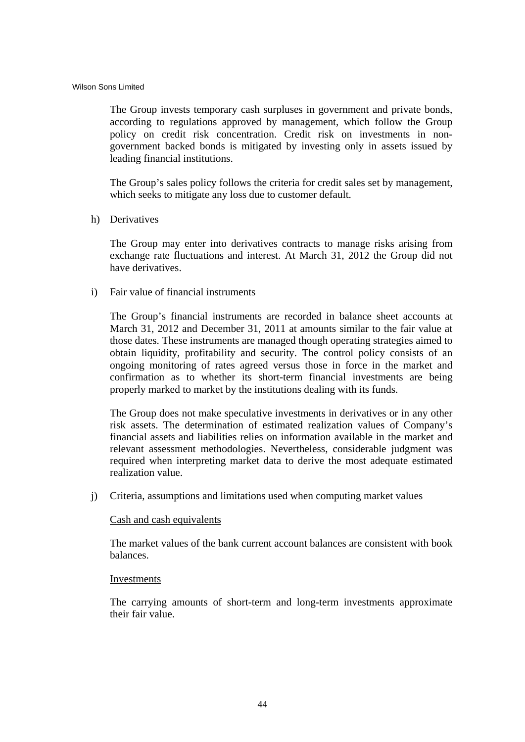The Group invests temporary cash surpluses in government and private bonds, according to regulations approved by management, which follow the Group policy on credit risk concentration. Credit risk on investments in nongovernment backed bonds is mitigated by investing only in assets issued by leading financial institutions.

The Group's sales policy follows the criteria for credit sales set by management, which seeks to mitigate any loss due to customer default.

h) Derivatives

The Group may enter into derivatives contracts to manage risks arising from exchange rate fluctuations and interest. At March 31, 2012 the Group did not have derivatives.

i) Fair value of financial instruments

The Group's financial instruments are recorded in balance sheet accounts at March 31, 2012 and December 31, 2011 at amounts similar to the fair value at those dates. These instruments are managed though operating strategies aimed to obtain liquidity, profitability and security. The control policy consists of an ongoing monitoring of rates agreed versus those in force in the market and confirmation as to whether its short-term financial investments are being properly marked to market by the institutions dealing with its funds.

The Group does not make speculative investments in derivatives or in any other risk assets. The determination of estimated realization values of Company's financial assets and liabilities relies on information available in the market and relevant assessment methodologies. Nevertheless, considerable judgment was required when interpreting market data to derive the most adequate estimated realization value.

j) Criteria, assumptions and limitations used when computing market values

#### Cash and cash equivalents

The market values of the bank current account balances are consistent with book balances.

#### Investments

The carrying amounts of short-term and long-term investments approximate their fair value.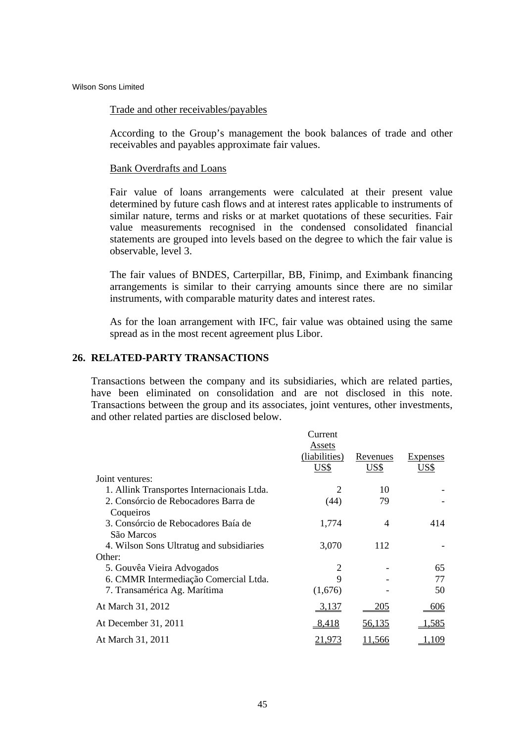#### Trade and other receivables/payables

According to the Group's management the book balances of trade and other receivables and payables approximate fair values.

#### Bank Overdrafts and Loans

Fair value of loans arrangements were calculated at their present value determined by future cash flows and at interest rates applicable to instruments of similar nature, terms and risks or at market quotations of these securities. Fair value measurements recognised in the condensed consolidated financial statements are grouped into levels based on the degree to which the fair value is observable, level 3.

The fair values of BNDES, Carterpillar, BB, Finimp, and Eximbank financing arrangements is similar to their carrying amounts since there are no similar instruments, with comparable maturity dates and interest rates.

As for the loan arrangement with IFC, fair value was obtained using the same spread as in the most recent agreement plus Libor.

# **26. RELATED-PARTY TRANSACTIONS**

Transactions between the company and its subsidiaries, which are related parties, have been eliminated on consolidation and are not disclosed in this note. Transactions between the group and its associates, joint ventures, other investments, and other related parties are disclosed below.

|                                            | Current        |               |              |
|--------------------------------------------|----------------|---------------|--------------|
|                                            | Assets         |               |              |
|                                            | (liabilities)  | Revenues      | Expenses     |
|                                            | US\$           | US\$          | US\$         |
| Joint ventures:                            |                |               |              |
| 1. Allink Transportes Internacionais Ltda. | 2              | 10            |              |
| 2. Consórcio de Rebocadores Barra de       | (44)           | 79            |              |
| Coqueiros                                  |                |               |              |
| 3. Consórcio de Rebocadores Baía de        | 1,774          | 4             | 414          |
| São Marcos                                 |                |               |              |
| 4. Wilson Sons Ultratug and subsidiaries   | 3,070          | 112           |              |
| Other:                                     |                |               |              |
| 5. Gouvêa Vieira Advogados                 | $\overline{2}$ |               | 65           |
| 6. CMMR Intermediação Comercial Ltda.      | 9              |               | 77           |
| 7. Transamérica Ag. Marítima               | (1,676)        |               | 50           |
| At March 31, 2012                          | 3,137          | <u>205</u>    | 606          |
| At December 31, 2011                       | 8,418          | <u>56,135</u> | <u>1,585</u> |
| At March 31, 2011                          | <u> 21,973</u> | <u>11,566</u> | .109         |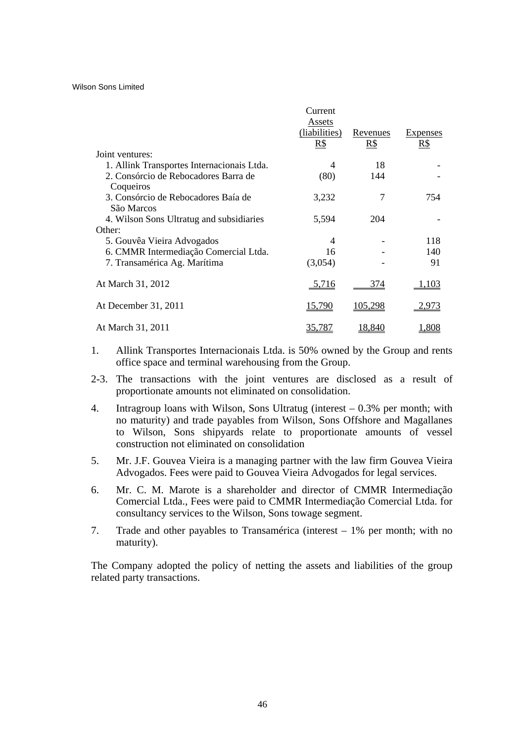|                                            | Current        |                 |                 |
|--------------------------------------------|----------------|-----------------|-----------------|
|                                            | Assets         |                 |                 |
|                                            | (liabilities)  | <u>Revenues</u> | <b>Expenses</b> |
|                                            | R\$            | $R\$            | $R\$            |
| Joint ventures:                            |                |                 |                 |
| 1. Allink Transportes Internacionais Ltda. | 4              | 18              |                 |
| 2. Consórcio de Rebocadores Barra de       | (80)           | 144             |                 |
| Coqueiros                                  |                |                 |                 |
| 3. Consórcio de Rebocadores Baía de        | 3,232          | 7               | 754             |
| São Marcos                                 |                |                 |                 |
| 4. Wilson Sons Ultratug and subsidiaries   | 5,594          | 204             |                 |
| Other:                                     |                |                 |                 |
| 5. Gouvêa Vieira Advogados                 | $\overline{4}$ |                 | 118             |
| 6. CMMR Intermediação Comercial Ltda.      | 16             |                 | 140             |
| 7. Transamérica Ag. Marítima               | (3,054)        |                 | 91              |
|                                            |                |                 |                 |
| At March 31, 2012                          | <u>5,716</u>   | <u>374</u>      | 1.103           |
|                                            |                |                 |                 |
| At December 31, 2011                       | <u>15,790</u>  | <u>105,298</u>  | 2,973           |
|                                            |                |                 |                 |
| At March 31, 2011                          | 35,787         | 18,840          | .808            |

- 1. Allink Transportes Internacionais Ltda. is 50% owned by the Group and rents office space and terminal warehousing from the Group.
- 2-3. The transactions with the joint ventures are disclosed as a result of proportionate amounts not eliminated on consolidation.
- 4. Intragroup loans with Wilson, Sons Ultratug (interest 0.3% per month; with no maturity) and trade payables from Wilson, Sons Offshore and Magallanes to Wilson, Sons shipyards relate to proportionate amounts of vessel construction not eliminated on consolidation
- 5. Mr. J.F. Gouvea Vieira is a managing partner with the law firm Gouvea Vieira Advogados. Fees were paid to Gouvea Vieira Advogados for legal services.
- 6. Mr. C. M. Marote is a shareholder and director of CMMR Intermediação Comercial Ltda., Fees were paid to CMMR Intermediação Comercial Ltda. for consultancy services to the Wilson, Sons towage segment.
- 7. Trade and other payables to Transamérica (interest 1% per month; with no maturity).

The Company adopted the policy of netting the assets and liabilities of the group related party transactions.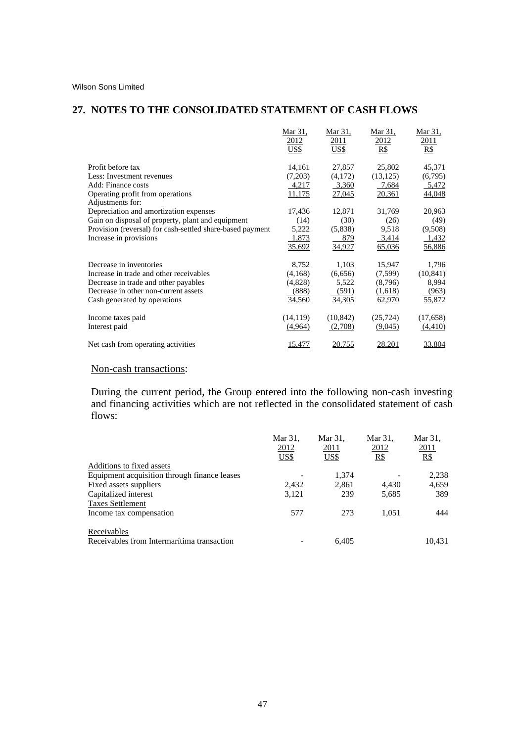# **27. NOTES TO THE CONSOLIDATED STATEMENT OF CASH FLOWS**

|                                                           | Mar 31,      | Mar 31,               | Mar 31,      | Mar 31,      |
|-----------------------------------------------------------|--------------|-----------------------|--------------|--------------|
|                                                           | 2012<br>US\$ | <u> 2011 </u><br>US\$ | 2012<br>$R\$ | 2011<br>$R\$ |
|                                                           |              |                       |              |              |
| Profit before tax                                         | 14,161       | 27,857                | 25,802       | 45,371       |
| Less: Investment revenues                                 | (7,203)      | (4,172)               | (13, 125)    | (6,795)      |
| Add: Finance costs                                        | 4,217        | 3,360                 | 7,684        | 5,472        |
| Operating profit from operations                          | 11,175       | 27,045                | 20,361       | 44,048       |
| Adjustments for:                                          |              |                       |              |              |
| Depreciation and amortization expenses                    | 17,436       | 12,871                | 31,769       | 20,963       |
| Gain on disposal of property, plant and equipment         | (14)         | (30)                  | (26)         | (49)         |
| Provision (reversal) for cash-settled share-based payment | 5,222        | (5,838)               | 9,518        | (9,508)      |
| Increase in provisions                                    | 1,873        | 879                   | 3,414        | 1,432        |
|                                                           | 35,692       | 34,927                | 65,036       | 56,886       |
|                                                           |              |                       |              |              |
| Decrease in inventories                                   | 8,752        | 1,103                 | 15,947       | 1,796        |
| Increase in trade and other receivables                   | (4,168)      | (6,656)               | (7, 599)     | (10, 841)    |
| Decrease in trade and other payables                      | (4,828)      | 5,522                 | (8,796)      | 8,994        |
| Decrease in other non-current assets                      | (888)        | (591)                 | (1,618)      | (963)        |
| Cash generated by operations                              | 34,560       | 34,305                | 62,970       | 55,872       |
| Income taxes paid                                         | (14, 119)    | (10, 842)             | (25, 724)    | (17,658)     |
| Interest paid                                             | (4,964)      | (2,708)               | (9,045)      | (4,410)      |
|                                                           |              |                       |              |              |
| Net cash from operating activities                        | 15,477       | 20,755                | 28,201       | 33,804       |

# Non-cash transactions:

During the current period, the Group entered into the following non-cash investing and financing activities which are not reflected in the consolidated statement of cash flows:

|                                              | Mar 31.     | Mar 31,     | Mar 31, | Mar 31. |
|----------------------------------------------|-------------|-------------|---------|---------|
|                                              | 2012        | 2011        | 2012    | 2011    |
|                                              | <b>US\$</b> | <u>US\$</u> | $R\$    | $R\$    |
| Additions to fixed assets                    |             |             |         |         |
| Equipment acquisition through finance leases |             | 1.374       |         | 2,238   |
| Fixed assets suppliers                       | 2.432       | 2,861       | 4.430   | 4,659   |
| Capitalized interest                         | 3,121       | 239         | 5,685   | 389     |
| <b>Taxes Settlement</b>                      |             |             |         |         |
| Income tax compensation                      | 577         | 273         | 1.051   | 444     |
| Receivables                                  |             |             |         |         |
| Receivables from Intermarítima transaction   |             | 6.405       |         | 10.431  |